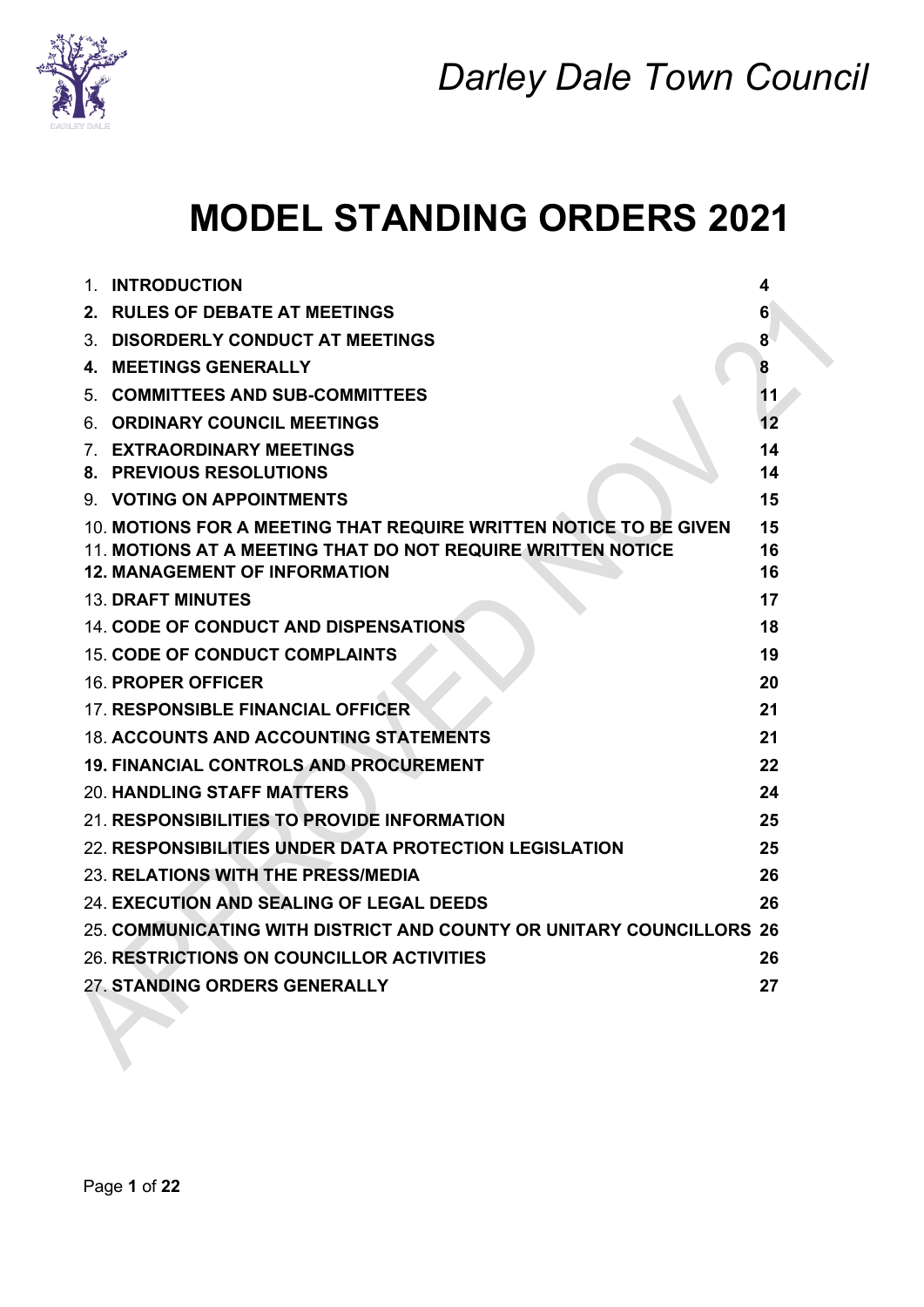

## **MODEL STANDING ORDERS 2021**

| 1. | <b>INTRODUCTION</b>                                                  | 4       |
|----|----------------------------------------------------------------------|---------|
|    | 2. RULES OF DEBATE AT MEETINGS                                       | 6       |
|    | 3. DISORDERLY CONDUCT AT MEETINGS                                    | 8       |
| 4. | <b>MEETINGS GENERALLY</b>                                            | 8       |
| 5. | <b>COMMITTEES AND SUB-COMMITTEES</b>                                 | 11      |
|    | 6. ORDINARY COUNCIL MEETINGS                                         | $12 \,$ |
|    | 7. EXTRAORDINARY MEETINGS                                            | 14      |
|    | <b>8. PREVIOUS RESOLUTIONS</b>                                       | 14      |
|    | 9. VOTING ON APPOINTMENTS                                            | 15      |
|    | 10. MOTIONS FOR A MEETING THAT REQUIRE WRITTEN NOTICE TO BE GIVEN    | 15      |
|    | 11. MOTIONS AT A MEETING THAT DO NOT REQUIRE WRITTEN NOTICE          | 16      |
|    | <b>12. MANAGEMENT OF INFORMATION</b>                                 | 16      |
|    | <b>13. DRAFT MINUTES</b>                                             | 17      |
|    | <b>14. CODE OF CONDUCT AND DISPENSATIONS</b>                         | 18      |
|    | <b>15. CODE OF CONDUCT COMPLAINTS</b>                                | 19      |
|    | <b>16. PROPER OFFICER</b>                                            | 20      |
|    | <b>17. RESPONSIBLE FINANCIAL OFFICER</b>                             | 21      |
|    | <b>18. ACCOUNTS AND ACCOUNTING STATEMENTS</b>                        | 21      |
|    | <b>19. FINANCIAL CONTROLS AND PROCUREMENT</b>                        | 22      |
|    | <b>20. HANDLING STAFF MATTERS</b>                                    | 24      |
|    | 21. RESPONSIBILITIES TO PROVIDE INFORMATION                          | 25      |
|    | 22. RESPONSIBILITIES UNDER DATA PROTECTION LEGISLATION               | 25      |
|    | 23. RELATIONS WITH THE PRESS/MEDIA                                   | 26      |
|    | 24. EXECUTION AND SEALING OF LEGAL DEEDS                             | 26      |
|    | 25. COMMUNICATING WITH DISTRICT AND COUNTY OR UNITARY COUNCILLORS 26 |         |
|    | 26. RESTRICTIONS ON COUNCILLOR ACTIVITIES                            | 26      |
|    | 27. STANDING ORDERS GENERALLY                                        | 27      |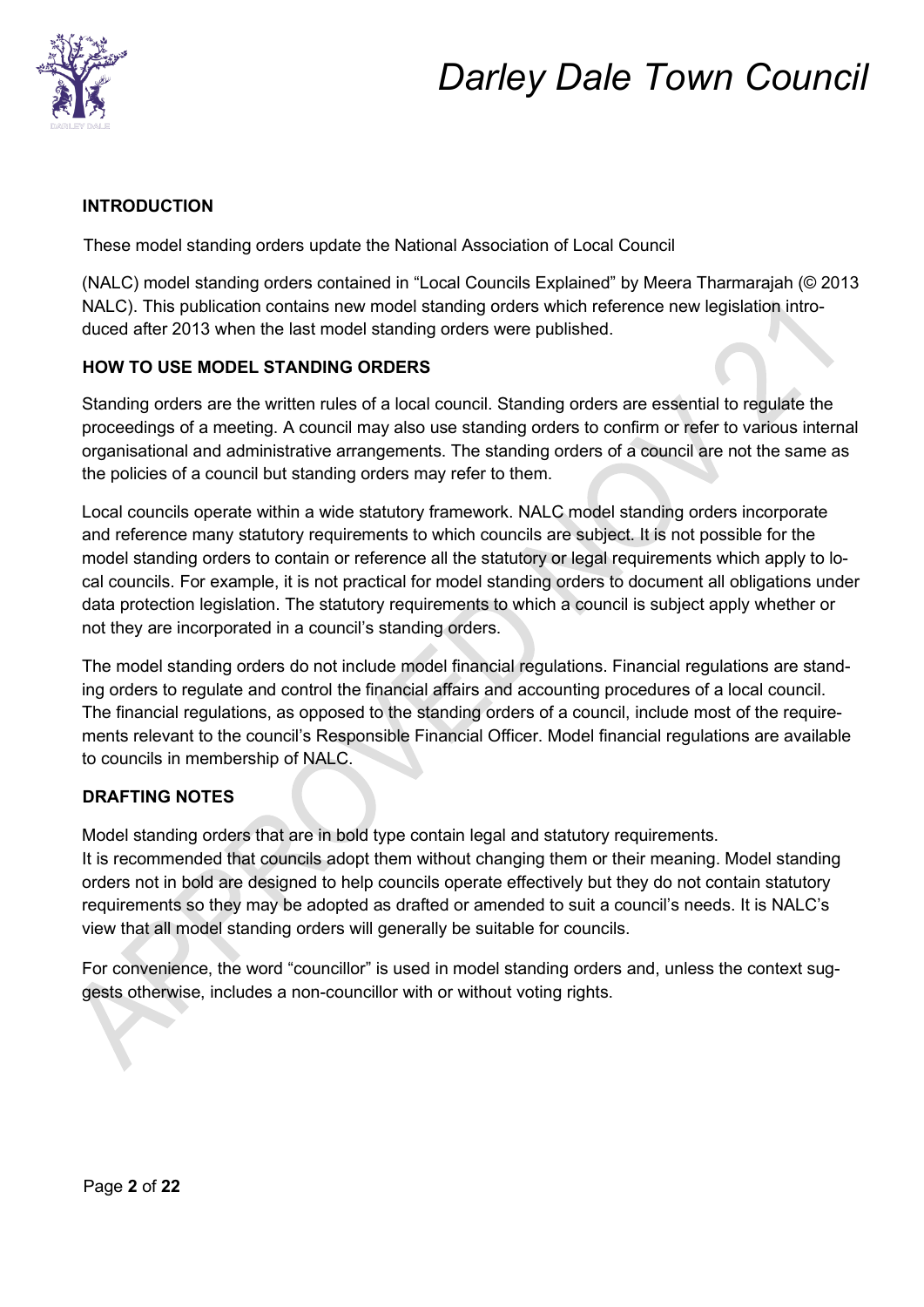

### **INTRODUCTION**

These model standing orders update the National Association of Local Council

(NALC) model standing orders contained in "Local Councils Explained" by Meera Tharmarajah (© 2013 NALC). This publication contains new model standing orders which reference new legislation introduced after 2013 when the last model standing orders were published.

### **HOW TO USE MODEL STANDING ORDERS**

Standing orders are the written rules of a local council. Standing orders are essential to regulate the proceedings of a meeting. A council may also use standing orders to confirm or refer to various internal organisational and administrative arrangements. The standing orders of a council are not the same as the policies of a council but standing orders may refer to them.

Local councils operate within a wide statutory framework. NALC model standing orders incorporate and reference many statutory requirements to which councils are subject. It is not possible for the model standing orders to contain or reference all the statutory or legal requirements which apply to local councils. For example, it is not practical for model standing orders to document all obligations under data protection legislation. The statutory requirements to which a council is subject apply whether or not they are incorporated in a council's standing orders.

The model standing orders do not include model financial regulations. Financial regulations are standing orders to regulate and control the financial affairs and accounting procedures of a local council. The financial regulations, as opposed to the standing orders of a council, include most of the requirements relevant to the council's Responsible Financial Officer. Model financial regulations are available to councils in membership of NALC.

### **DRAFTING NOTES**

Model standing orders that are in bold type contain legal and statutory requirements.

It is recommended that councils adopt them without changing them or their meaning. Model standing orders not in bold are designed to help councils operate effectively but they do not contain statutory requirements so they may be adopted as drafted or amended to suit a council's needs. It is NALC's view that all model standing orders will generally be suitable for councils.

For convenience, the word "councillor" is used in model standing orders and, unless the context suggests otherwise, includes a non-councillor with or without voting rights.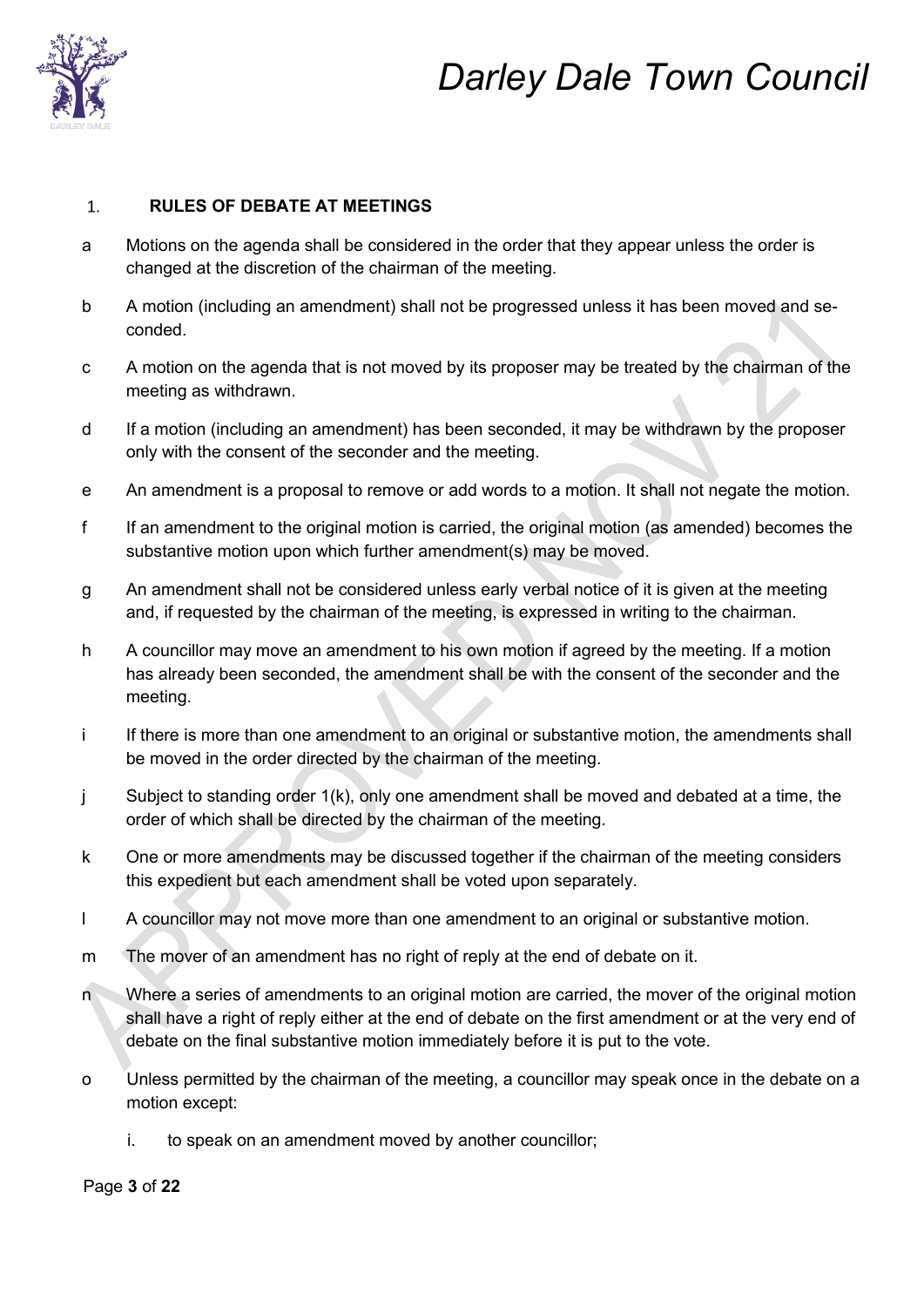

#### **RULES OF DEBATE AT MEETINGS**   $1.$

- a Motions on the agenda shall be considered in the order that they appear unless the order is changed at the discretion of the chairman of the meeting.
- b A motion (including an amendment) shall not be progressed unless it has been moved and seconded.
- c A motion on the agenda that is not moved by its proposer may be treated by the chairman of the meeting as withdrawn.
- d If a motion (including an amendment) has been seconded, it may be withdrawn by the proposer only with the consent of the seconder and the meeting.
- e An amendment is a proposal to remove or add words to a motion. It shall not negate the motion.
- f If an amendment to the original motion is carried, the original motion (as amended) becomes the substantive motion upon which further amendment(s) may be moved.
- g An amendment shall not be considered unless early verbal notice of it is given at the meeting and, if requested by the chairman of the meeting, is expressed in writing to the chairman.
- h A councillor may move an amendment to his own motion if agreed by the meeting. If a motion has already been seconded, the amendment shall be with the consent of the seconder and the meeting.
- i If there is more than one amendment to an original or substantive motion, the amendments shall be moved in the order directed by the chairman of the meeting.
- j Subject to standing order 1(k), only one amendment shall be moved and debated at a time, the order of which shall be directed by the chairman of the meeting.
- k One or more amendments may be discussed together if the chairman of the meeting considers this expedient but each amendment shall be voted upon separately.
- l A councillor may not move more than one amendment to an original or substantive motion.
- m The mover of an amendment has no right of reply at the end of debate on it.
- n Where a series of amendments to an original motion are carried, the mover of the original motion shall have a right of reply either at the end of debate on the first amendment or at the very end of debate on the final substantive motion immediately before it is put to the vote.
- o Unless permitted by the chairman of the meeting, a councillor may speak once in the debate on a motion except:
	- i. to speak on an amendment moved by another councillor;

Page **3** of **22**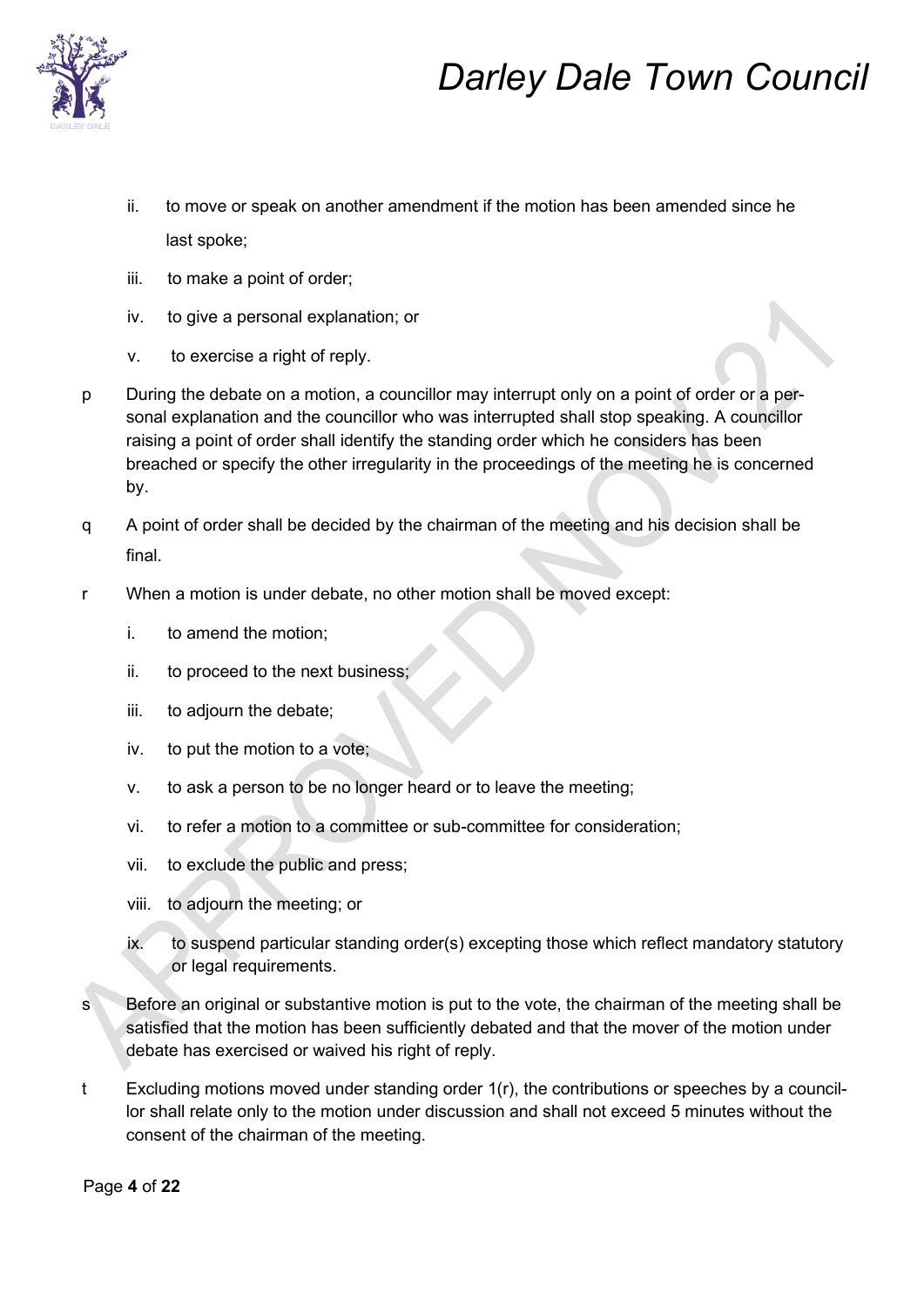

- ii. to move or speak on another amendment if the motion has been amended since he last spoke;
- iii. to make a point of order;
- iv. to give a personal explanation; or
- v. to exercise a right of reply.
- p During the debate on a motion, a councillor may interrupt only on a point of order or a personal explanation and the councillor who was interrupted shall stop speaking. A councillor raising a point of order shall identify the standing order which he considers has been breached or specify the other irregularity in the proceedings of the meeting he is concerned by.
- q A point of order shall be decided by the chairman of the meeting and his decision shall be final.
- r When a motion is under debate, no other motion shall be moved except:
	- i. to amend the motion;
	- ii. to proceed to the next business;
	- iii. to adjourn the debate;
	- iv. to put the motion to a vote;
	- v. to ask a person to be no longer heard or to leave the meeting;
	- vi. to refer a motion to a committee or sub-committee for consideration;
	- vii. to exclude the public and press;
	- viii. to adjourn the meeting; or
	- ix. to suspend particular standing order(s) excepting those which reflect mandatory statutory or legal requirements.
- s Before an original or substantive motion is put to the vote, the chairman of the meeting shall be satisfied that the motion has been sufficiently debated and that the mover of the motion under debate has exercised or waived his right of reply.
- t Excluding motions moved under standing order 1(r), the contributions or speeches by a councillor shall relate only to the motion under discussion and shall not exceed 5 minutes without the consent of the chairman of the meeting.

Page **4** of **22**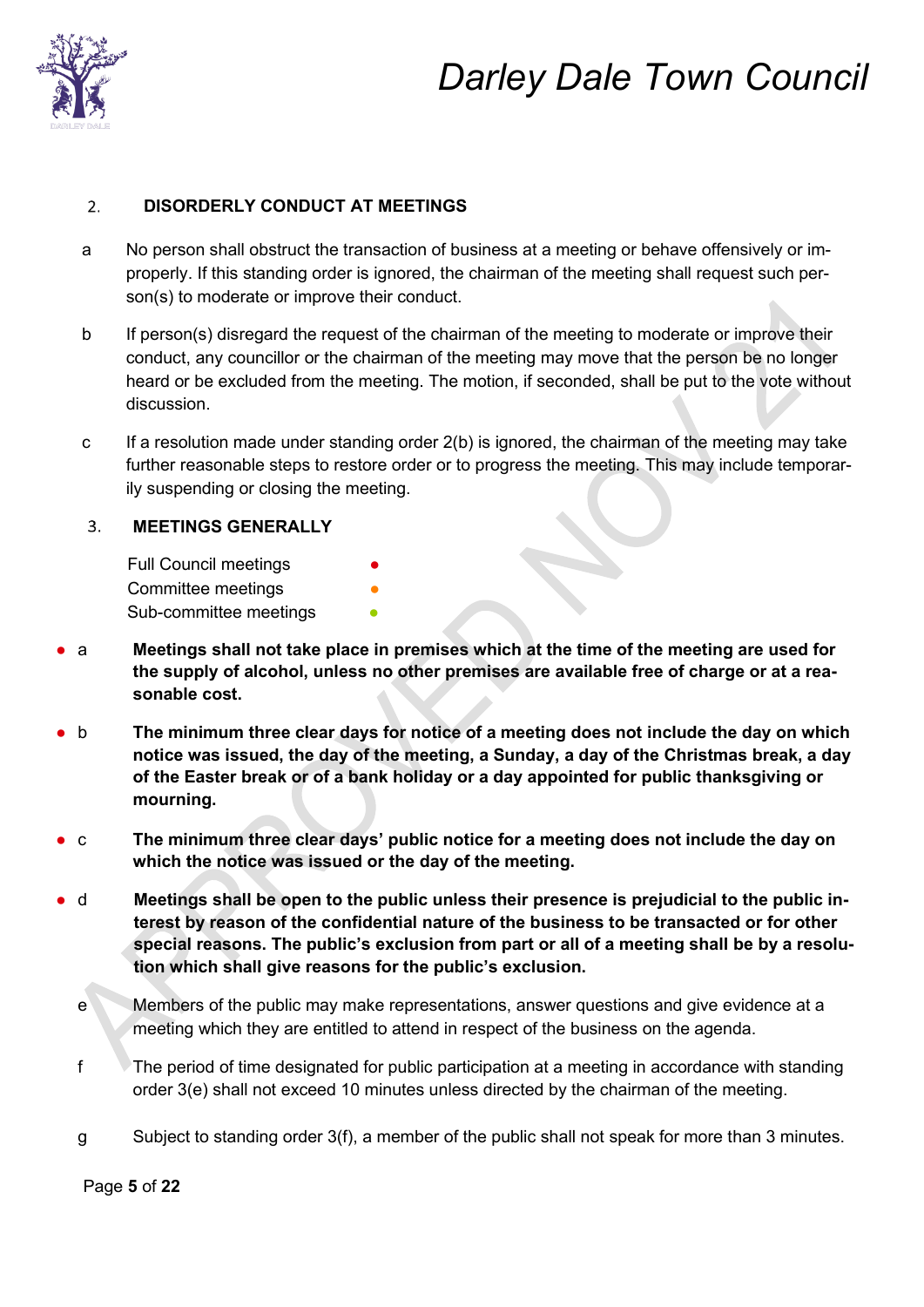

#### **DISORDERLY CONDUCT AT MEETINGS**   $2.$

- a No person shall obstruct the transaction of business at a meeting or behave offensively or improperly. If this standing order is ignored, the chairman of the meeting shall request such person(s) to moderate or improve their conduct.
- b If person(s) disregard the request of the chairman of the meeting to moderate or improve their conduct, any councillor or the chairman of the meeting may move that the person be no longer heard or be excluded from the meeting. The motion, if seconded, shall be put to the vote without discussion.
- c If a resolution made under standing order  $2(b)$  is ignored, the chairman of the meeting may take further reasonable steps to restore order or to progress the meeting. This may include temporarily suspending or closing the meeting.

#### $3.$ **MEETINGS GENERALLY**

Full Council meetings Committee meetings Sub-committee meetings

- a **Meetings shall not take place in premises which at the time of the meeting are used for the supply of alcohol, unless no other premises are available free of charge or at a reasonable cost.**
- b **The minimum three clear days for notice of a meeting does not include the day on which notice was issued, the day of the meeting, a Sunday, a day of the Christmas break, a day of the Easter break or of a bank holiday or a day appointed for public thanksgiving or mourning.**
- c **The minimum three clear days' public notice for a meeting does not include the day on which the notice was issued or the day of the meeting.**
- d **Meetings shall be open to the public unless their presence is prejudicial to the public interest by reason of the confidential nature of the business to be transacted or for other special reasons. The public's exclusion from part or all of a meeting shall be by a resolution which shall give reasons for the public's exclusion.**
	- e Members of the public may make representations, answer questions and give evidence at a meeting which they are entitled to attend in respect of the business on the agenda.
	- f The period of time designated for public participation at a meeting in accordance with standing order 3(e) shall not exceed 10 minutes unless directed by the chairman of the meeting.
	- g Subject to standing order 3(f), a member of the public shall not speak for more than 3 minutes.

Page **5** of **22**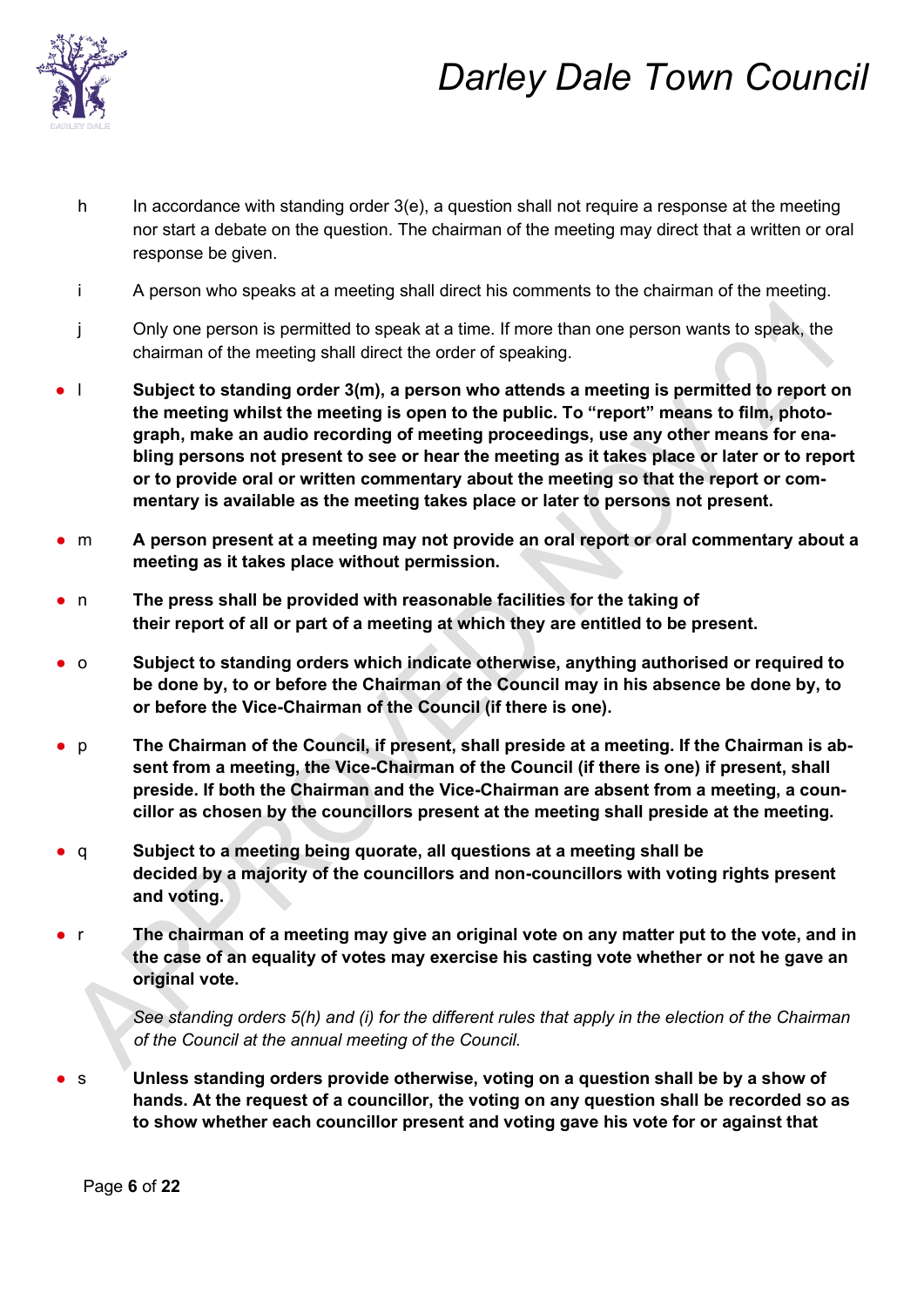

- h In accordance with standing order 3(e), a question shall not require a response at the meeting nor start a debate on the question. The chairman of the meeting may direct that a written or oral response be given.
- i A person who speaks at a meeting shall direct his comments to the chairman of the meeting.
- j Only one person is permitted to speak at a time. If more than one person wants to speak, the chairman of the meeting shall direct the order of speaking.
- l **Subject to standing order 3(m), a person who attends a meeting is permitted to report on the meeting whilst the meeting is open to the public. To "report" means to film, photograph, make an audio recording of meeting proceedings, use any other means for enabling persons not present to see or hear the meeting as it takes place or later or to report or to provide oral or written commentary about the meeting so that the report or commentary is available as the meeting takes place or later to persons not present.**
- m **A** person present at a meeting may not provide an oral report or oral commentary about a **meeting as it takes place without permission.**
- n **The press shall be provided with reasonable facilities for the taking of their report of all or part of a meeting at which they are entitled to be present.**
- o **Subject to standing orders which indicate otherwise, anything authorised or required to be done by, to or before the Chairman of the Council may in his absence be done by, to or before the Vice-Chairman of the Council (if there is one).**
- p **The Chairman of the Council, if present, shall preside at a meeting. If the Chairman is absent from a meeting, the Vice-Chairman of the Council (if there is one) if present, shall preside. If both the Chairman and the Vice-Chairman are absent from a meeting, a councillor as chosen by the councillors present at the meeting shall preside at the meeting.**
- q **Subject to a meeting being quorate, all questions at a meeting shall be decided by a majority of the councillors and non-councillors with voting rights present and voting.**
- r **The chairman of a meeting may give an original vote on any matter put to the vote, and in the case of an equality of votes may exercise his casting vote whether or not he gave an original vote.**

*See standing orders 5(h) and (i) for the different rules that apply in the election of the Chairman of the Council at the annual meeting of the Council.*

s **Unless standing orders provide otherwise, voting on a question shall be by a show of hands. At the request of a councillor, the voting on any question shall be recorded so as to show whether each councillor present and voting gave his vote for or against that** 

Page **6** of **22**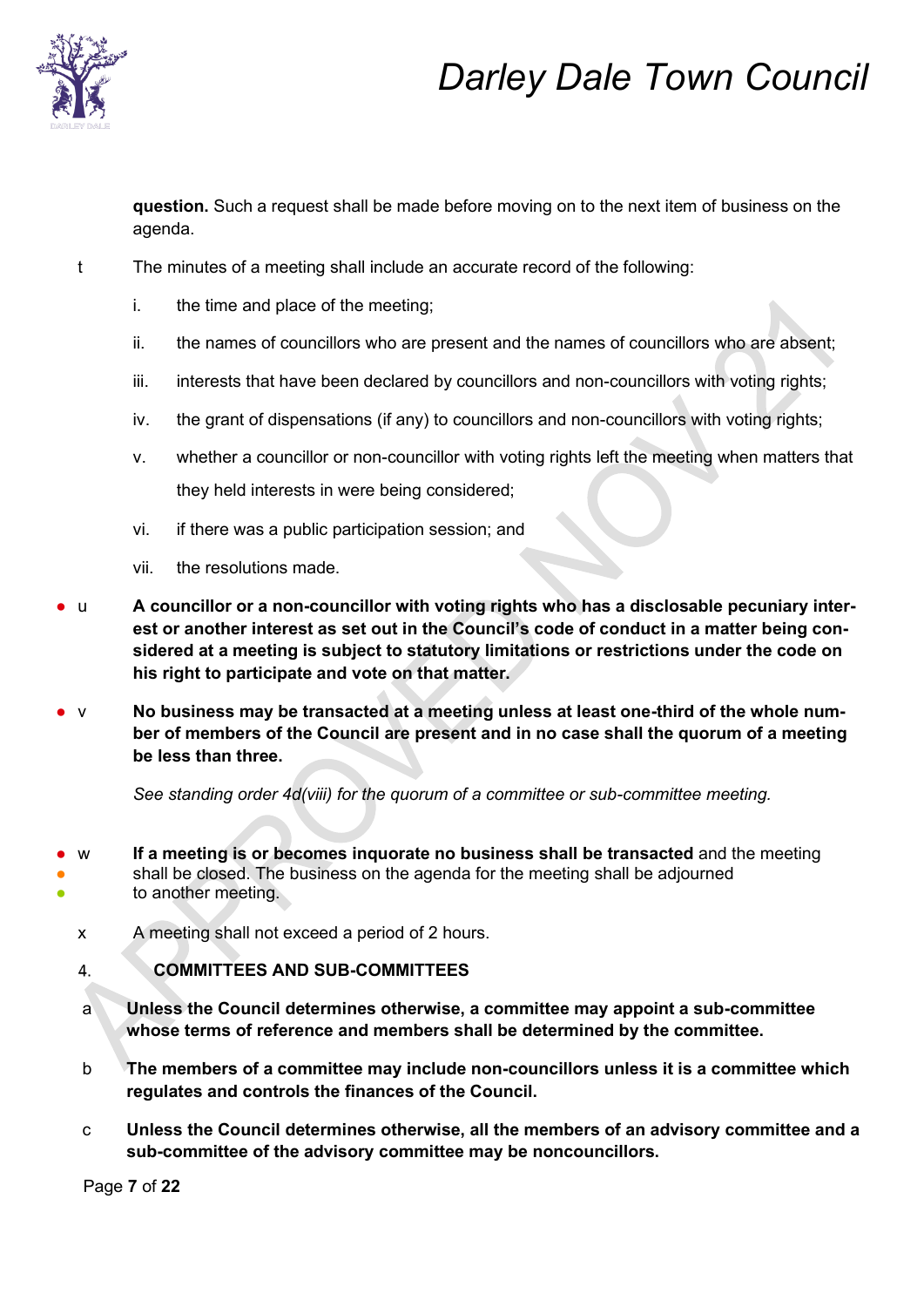

**question.** Such a request shall be made before moving on to the next item of business on the agenda.

- t The minutes of a meeting shall include an accurate record of the following:
	- i. the time and place of the meeting;
	- ii. the names of councillors who are present and the names of councillors who are absent;
	- iii. interests that have been declared by councillors and non-councillors with voting rights;
	- iv. the grant of dispensations (if any) to councillors and non-councillors with voting rights;
	- v. whether a councillor or non-councillor with voting rights left the meeting when matters that they held interests in were being considered;
	- vi. if there was a public participation session; and
	- vii. the resolutions made.
- u A councillor or a non-councillor with voting rights who has a disclosable pecuniary inter**est or another interest as set out in the Council's code of conduct in a matter being considered at a meeting is subject to statutory limitations or restrictions under the code on his right to participate and vote on that matter.**
- v No business may be transacted at a meeting unless at least one-third of the whole num**ber of members of the Council are present and in no case shall the quorum of a meeting be less than three.**

*See standing order 4d(viii) for the quorum of a committee or sub-committee meeting.* 

- w **If a meeting is or becomes inquorate no business shall be transacted** and the meeting shall be closed. The business on the agenda for the meeting shall be adjourned to another meeting.
	- x A meeting shall not exceed a period of 2 hours.

#### **COMMITTEES AND SUB-COMMITTEES**  4.

- a **Unless the Council determines otherwise, a committee may appoint a sub-committee whose terms of reference and members shall be determined by the committee.**
- b **The members of a committee may include non-councillors unless it is a committee which regulates and controls the finances of the Council.**
- c **Unless the Council determines otherwise, all the members of an advisory committee and a sub-committee of the advisory committee may be noncouncillors.**

Page **7** of **22**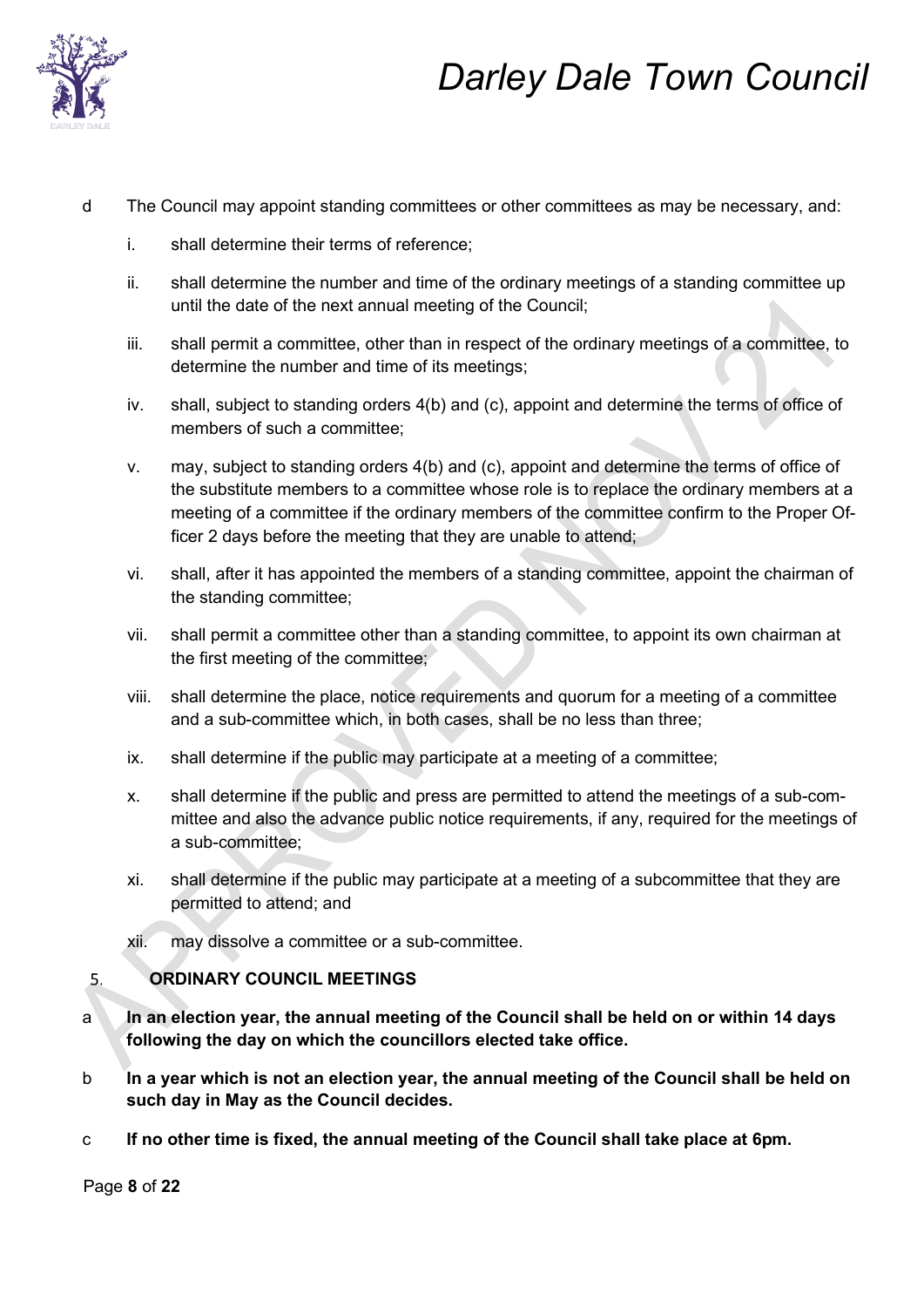

- d The Council may appoint standing committees or other committees as may be necessary, and:
	- i. shall determine their terms of reference;
	- ii. shall determine the number and time of the ordinary meetings of a standing committee up until the date of the next annual meeting of the Council;
	- iii. shall permit a committee, other than in respect of the ordinary meetings of a committee, to determine the number and time of its meetings;
	- iv. shall, subject to standing orders 4(b) and (c), appoint and determine the terms of office of members of such a committee;
	- v. may, subject to standing orders 4(b) and (c), appoint and determine the terms of office of the substitute members to a committee whose role is to replace the ordinary members at a meeting of a committee if the ordinary members of the committee confirm to the Proper Officer 2 days before the meeting that they are unable to attend;
	- vi. shall, after it has appointed the members of a standing committee, appoint the chairman of the standing committee;
	- vii. shall permit a committee other than a standing committee, to appoint its own chairman at the first meeting of the committee;
	- viii. shall determine the place, notice requirements and quorum for a meeting of a committee and a sub-committee which, in both cases, shall be no less than three;
	- ix. shall determine if the public may participate at a meeting of a committee;
	- x. shall determine if the public and press are permitted to attend the meetings of a sub-committee and also the advance public notice requirements, if any, required for the meetings of a sub-committee;
	- xi. shall determine if the public may participate at a meeting of a subcommittee that they are permitted to attend; and
	- xii. may dissolve a committee or a sub-committee.

#### **ORDINARY COUNCIL MEETINGS**  5.

- a **In an election year, the annual meeting of the Council shall be held on or within 14 days following the day on which the councillors elected take office.**
- b **In a year which is not an election year, the annual meeting of the Council shall be held on such day in May as the Council decides.**
- c **If no other time is fixed, the annual meeting of the Council shall take place at 6pm.**

Page **8** of **22**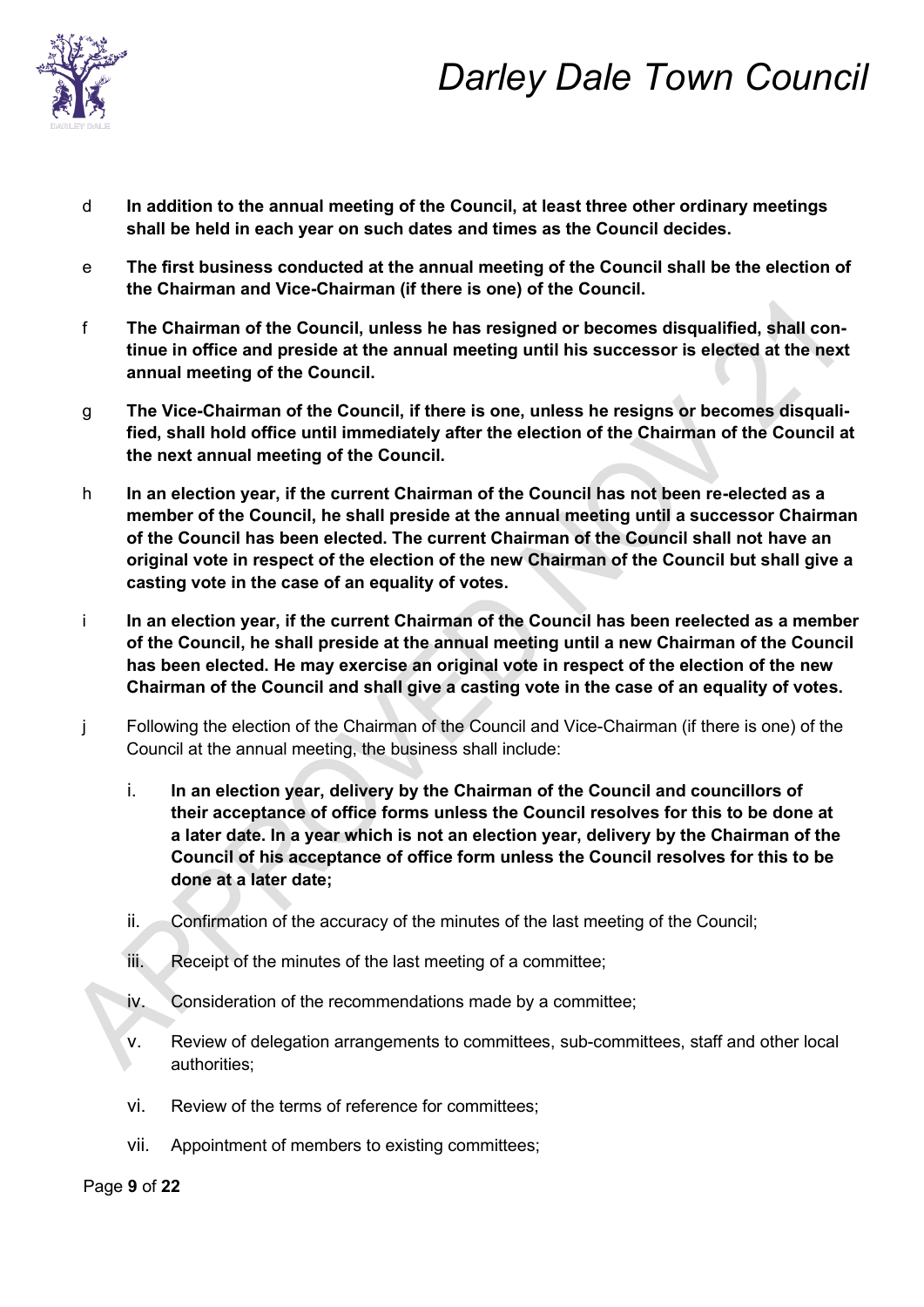

- d **In addition to the annual meeting of the Council, at least three other ordinary meetings shall be held in each year on such dates and times as the Council decides.**
- e **The first business conducted at the annual meeting of the Council shall be the election of the Chairman and Vice-Chairman (if there is one) of the Council.**
- f **The Chairman of the Council, unless he has resigned or becomes disqualified, shall continue in office and preside at the annual meeting until his successor is elected at the next annual meeting of the Council.**
- g **The Vice-Chairman of the Council, if there is one, unless he resigns or becomes disqualified, shall hold office until immediately after the election of the Chairman of the Council at the next annual meeting of the Council.**
- h **In an election year, if the current Chairman of the Council has not been re-elected as a member of the Council, he shall preside at the annual meeting until a successor Chairman of the Council has been elected. The current Chairman of the Council shall not have an original vote in respect of the election of the new Chairman of the Council but shall give a casting vote in the case of an equality of votes.**
- i **In an election year, if the current Chairman of the Council has been reelected as a member of the Council, he shall preside at the annual meeting until a new Chairman of the Council has been elected. He may exercise an original vote in respect of the election of the new Chairman of the Council and shall give a casting vote in the case of an equality of votes.**
- j Following the election of the Chairman of the Council and Vice-Chairman (if there is one) of the Council at the annual meeting, the business shall include:
	- i. **In an election year, delivery by the Chairman of the Council and councillors of their acceptance of office forms unless the Council resolves for this to be done at a later date. In a year which is not an election year, delivery by the Chairman of the Council of his acceptance of office form unless the Council resolves for this to be done at a later date;**
	- ii. Confirmation of the accuracy of the minutes of the last meeting of the Council;
	- iii. Receipt of the minutes of the last meeting of a committee;
	- iv. Consideration of the recommendations made by a committee;
	- v. Review of delegation arrangements to committees, sub-committees, staff and other local authorities;
	- vi. Review of the terms of reference for committees;
	- vii. Appointment of members to existing committees;

Page **9** of **22**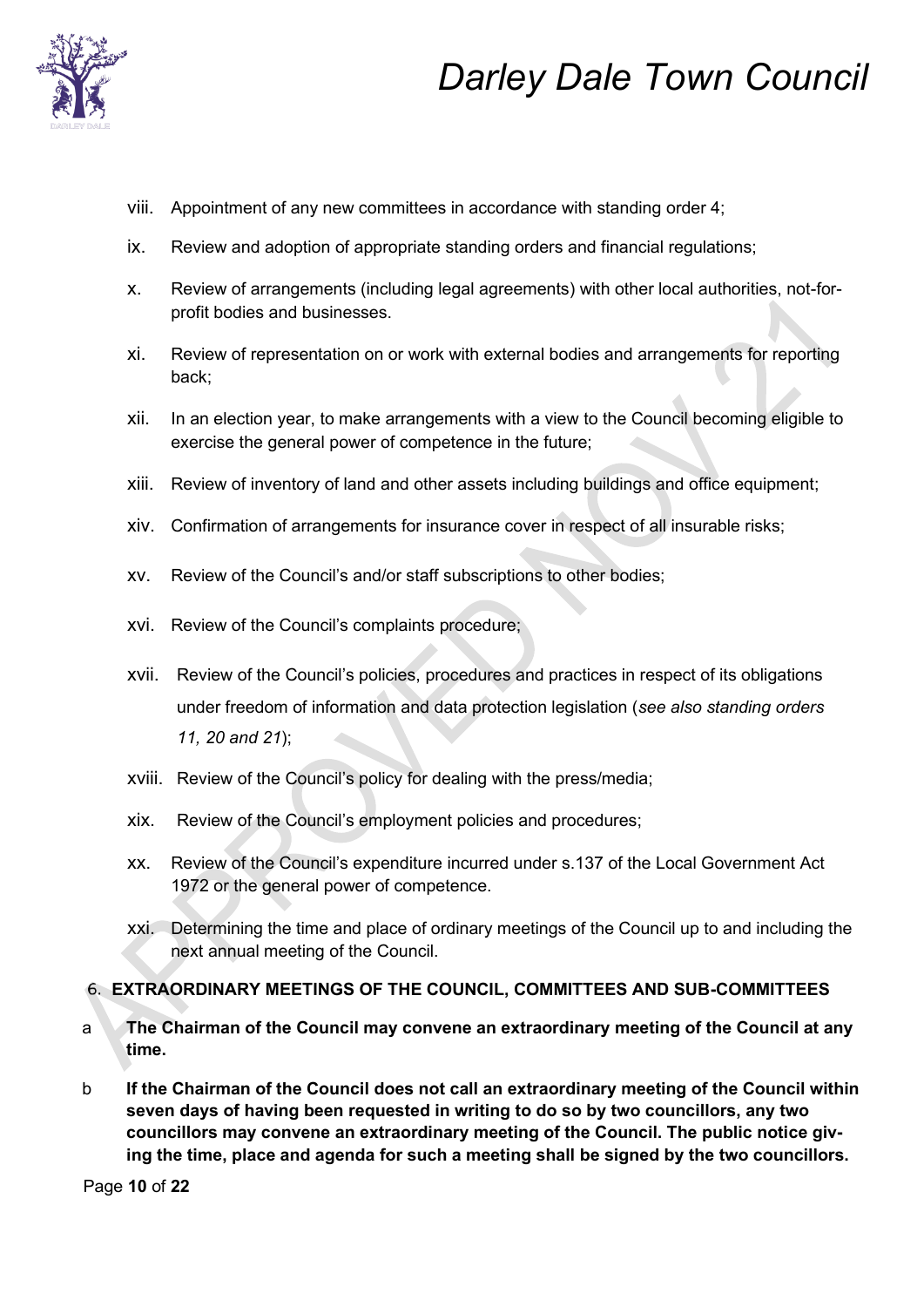

- viii. Appointment of any new committees in accordance with standing order 4;
- ix. Review and adoption of appropriate standing orders and financial regulations;
- x. Review of arrangements (including legal agreements) with other local authorities, not-forprofit bodies and businesses.
- xi. Review of representation on or work with external bodies and arrangements for reporting back;
- xii. In an election year, to make arrangements with a view to the Council becoming eligible to exercise the general power of competence in the future;
- xiii. Review of inventory of land and other assets including buildings and office equipment;
- xiv. Confirmation of arrangements for insurance cover in respect of all insurable risks;
- xv. Review of the Council's and/or staff subscriptions to other bodies;
- xvi. Review of the Council's complaints procedure;
- xvii. Review of the Council's policies, procedures and practices in respect of its obligations under freedom of information and data protection legislation (*see also standing orders 11, 20 and 21*);
- xviii. Review of the Council's policy for dealing with the press/media;
- xix. Review of the Council's employment policies and procedures;
- xx. Review of the Council's expenditure incurred under s.137 of the Local Government Act 1972 or the general power of competence.
- xxi. Determining the time and place of ordinary meetings of the Council up to and including the next annual meeting of the Council.

### **EXTRAORDINARY MEETINGS OF THE COUNCIL, COMMITTEES AND SUB-COMMITTEES**

- a **The Chairman of the Council may convene an extraordinary meeting of the Council at any time.**
- b **If the Chairman of the Council does not call an extraordinary meeting of the Council within seven days of having been requested in writing to do so by two councillors, any two councillors may convene an extraordinary meeting of the Council. The public notice giving the time, place and agenda for such a meeting shall be signed by the two councillors.**

Page **10** of **22**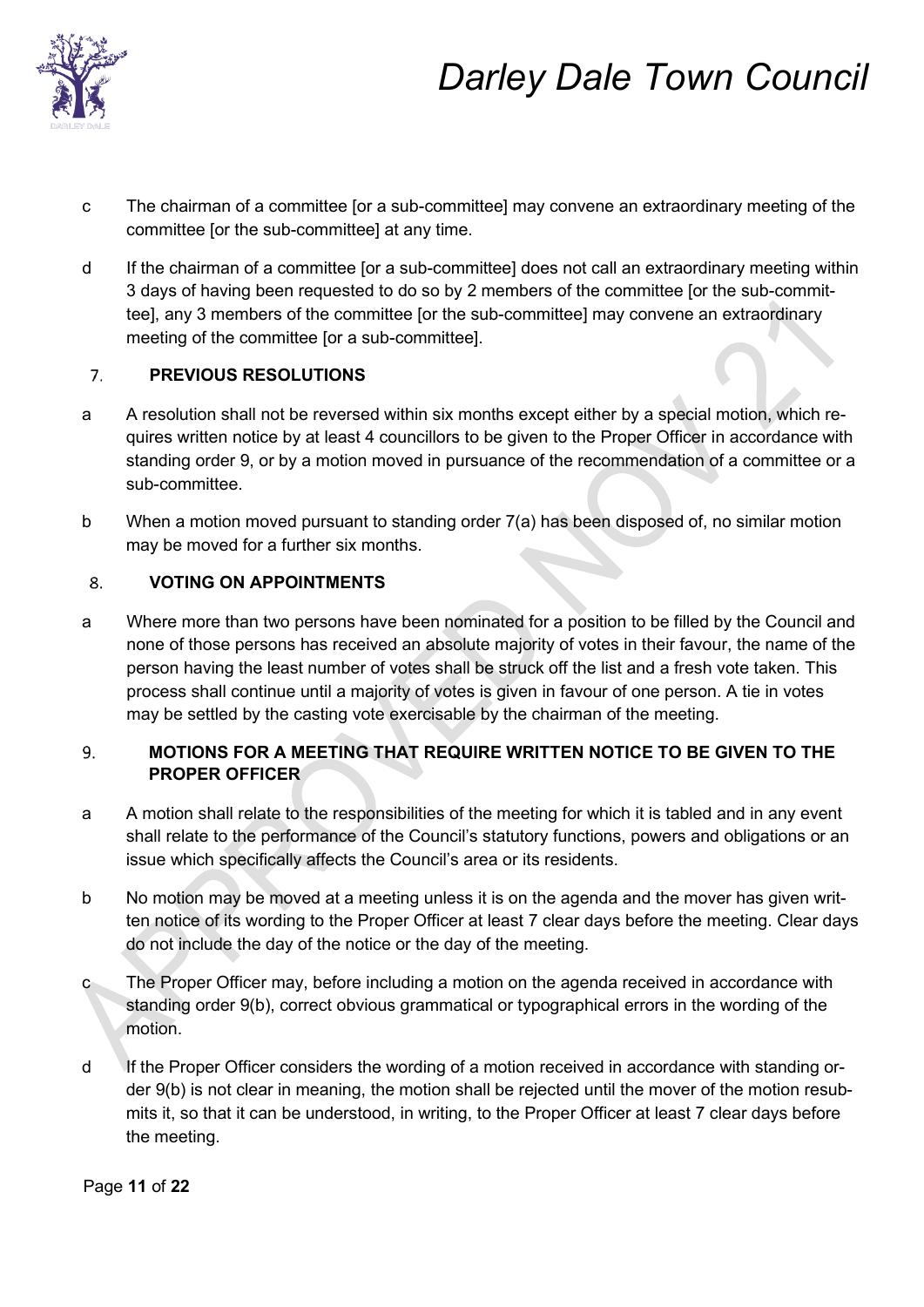

- c The chairman of a committee [or a sub-committee] may convene an extraordinary meeting of the committee [or the sub-committee] at any time.
- d If the chairman of a committee [or a sub-committee] does not call an extraordinary meeting within 3 days of having been requested to do so by 2 members of the committee [or the sub-committee], any 3 members of the committee [or the sub-committee] may convene an extraordinary meeting of the committee [or a sub-committee].

#### $7<sub>1</sub>$ **PREVIOUS RESOLUTIONS**

- a A resolution shall not be reversed within six months except either by a special motion, which requires written notice by at least 4 councillors to be given to the Proper Officer in accordance with standing order 9, or by a motion moved in pursuance of the recommendation of a committee or a sub-committee.
- b When a motion moved pursuant to standing order 7(a) has been disposed of, no similar motion may be moved for a further six months.

#### 8. **VOTING ON APPOINTMENTS**

a Where more than two persons have been nominated for a position to be filled by the Council and none of those persons has received an absolute majority of votes in their favour, the name of the person having the least number of votes shall be struck off the list and a fresh vote taken. This process shall continue until a majority of votes is given in favour of one person. A tie in votes may be settled by the casting vote exercisable by the chairman of the meeting.

### 9. **MOTIONS FOR A MEETING THAT REQUIRE WRITTEN NOTICE TO BE GIVEN TO THE PROPER OFFICER**

- a A motion shall relate to the responsibilities of the meeting for which it is tabled and in any event shall relate to the performance of the Council's statutory functions, powers and obligations or an issue which specifically affects the Council's area or its residents.
- b No motion may be moved at a meeting unless it is on the agenda and the mover has given written notice of its wording to the Proper Officer at least 7 clear days before the meeting. Clear days do not include the day of the notice or the day of the meeting.
- c The Proper Officer may, before including a motion on the agenda received in accordance with standing order 9(b), correct obvious grammatical or typographical errors in the wording of the motion.
- d If the Proper Officer considers the wording of a motion received in accordance with standing order 9(b) is not clear in meaning, the motion shall be rejected until the mover of the motion resubmits it, so that it can be understood, in writing, to the Proper Officer at least 7 clear days before the meeting.

Page **11** of **22**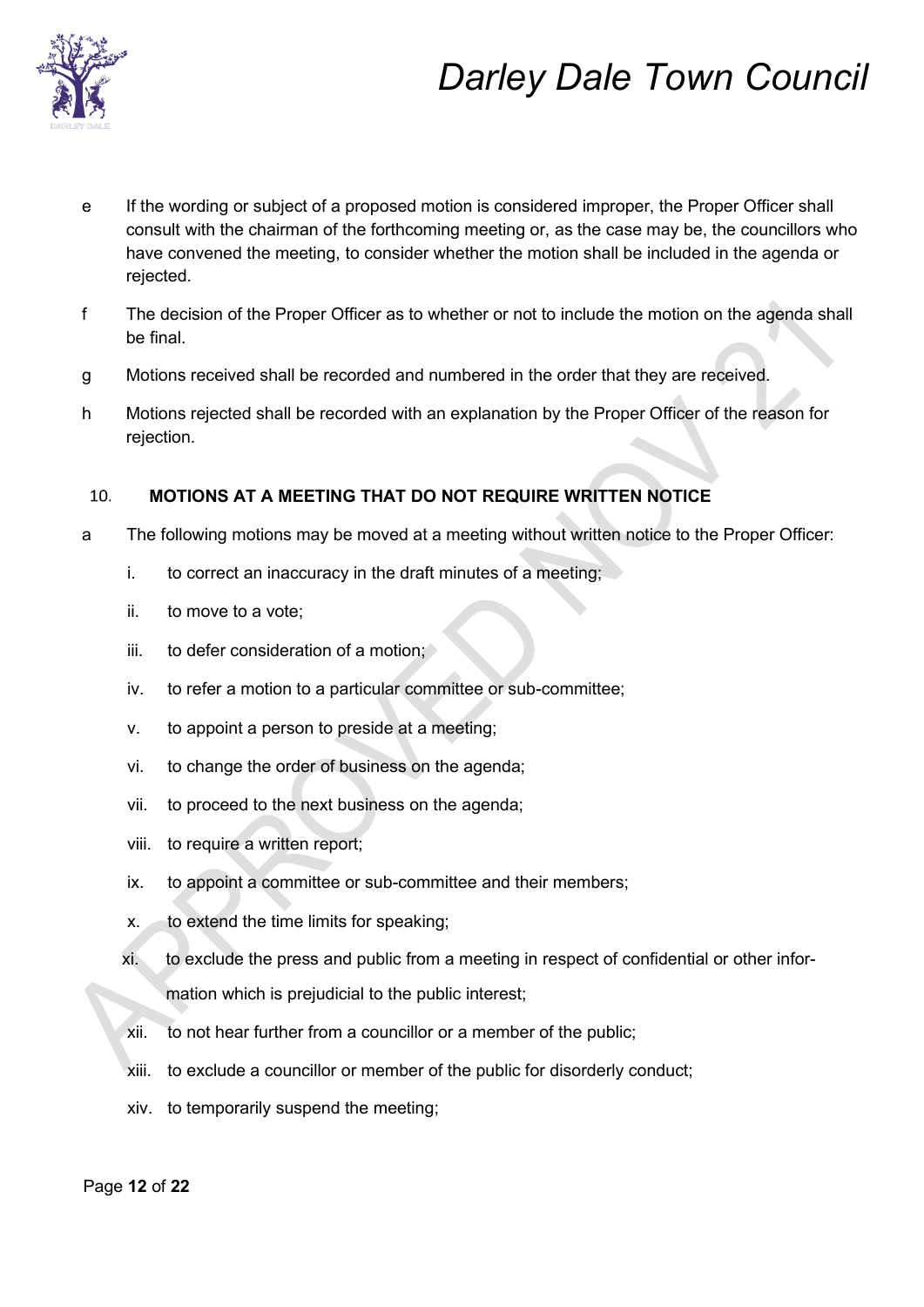

- e If the wording or subject of a proposed motion is considered improper, the Proper Officer shall consult with the chairman of the forthcoming meeting or, as the case may be, the councillors who have convened the meeting, to consider whether the motion shall be included in the agenda or rejected.
- f The decision of the Proper Officer as to whether or not to include the motion on the agenda shall be final.
- g Motions received shall be recorded and numbered in the order that they are received.
- h Motions rejected shall be recorded with an explanation by the Proper Officer of the reason for rejection.

#### **MOTIONS AT A MEETING THAT DO NOT REQUIRE WRITTEN NOTICE**  10.

- a The following motions may be moved at a meeting without written notice to the Proper Officer:
	- i. to correct an inaccuracy in the draft minutes of a meeting;
	- ii. to move to a vote;
	- iii. to defer consideration of a motion;
	- iv. to refer a motion to a particular committee or sub-committee;
	- v. to appoint a person to preside at a meeting;
	- vi. to change the order of business on the agenda;
	- vii. to proceed to the next business on the agenda;
	- viii. to require a written report;
	- ix. to appoint a committee or sub-committee and their members;
	- x. to extend the time limits for speaking;
	- xi. to exclude the press and public from a meeting in respect of confidential or other information which is prejudicial to the public interest;
	- xii. to not hear further from a councillor or a member of the public;
	- xiii. to exclude a councillor or member of the public for disorderly conduct;
	- xiv. to temporarily suspend the meeting;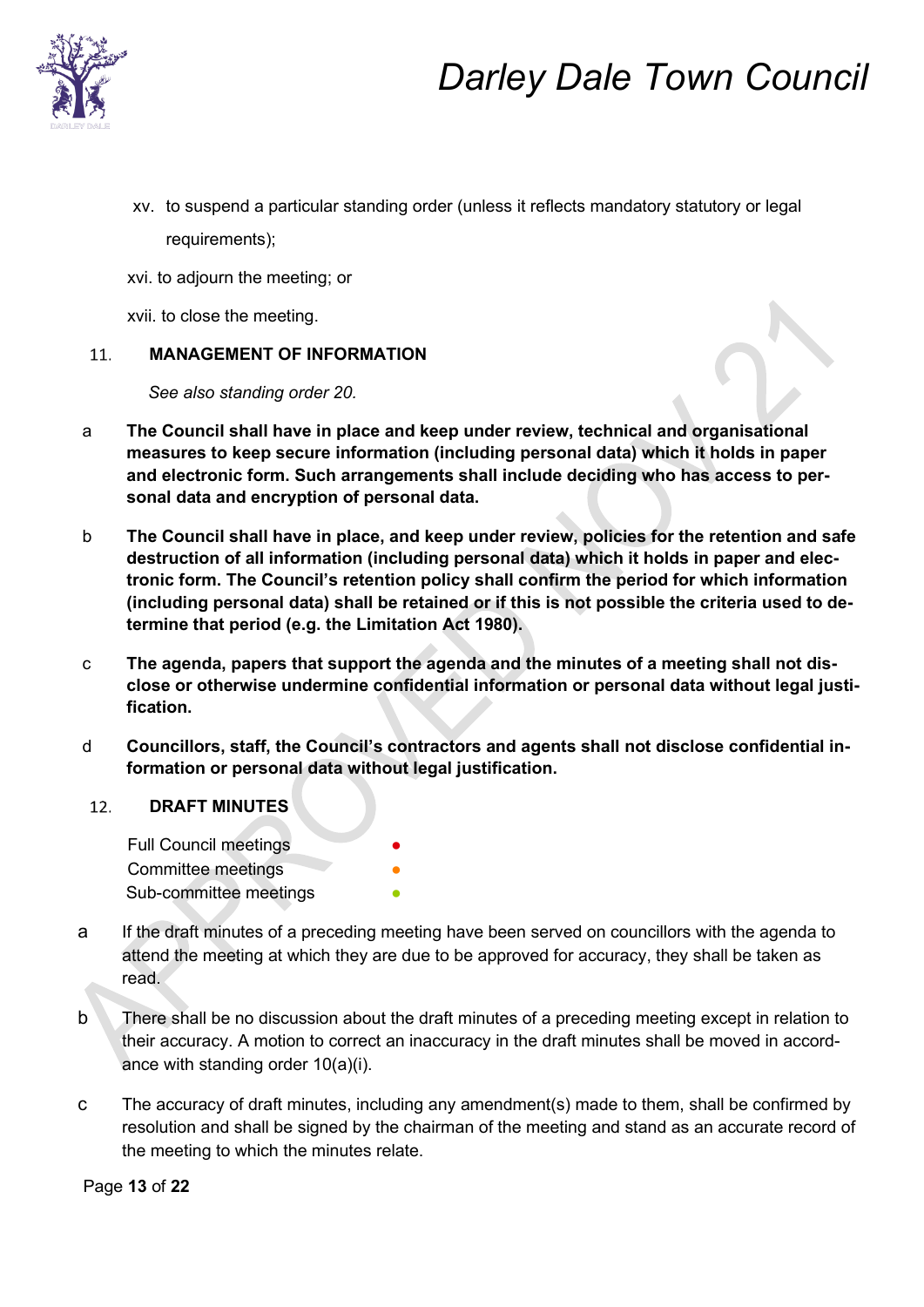

xv. to suspend a particular standing order (unless it reflects mandatory statutory or legal requirements);

xvi. to adjourn the meeting; or

xvii. to close the meeting.

#### $11<sub>1</sub>$ **MANAGEMENT OF INFORMATION**

*See also standing order 20.* 

- a **The Council shall have in place and keep under review, technical and organisational measures to keep secure information (including personal data) which it holds in paper and electronic form. Such arrangements shall include deciding who has access to personal data and encryption of personal data.**
- b **The Council shall have in place, and keep under review, policies for the retention and safe destruction of all information (including personal data) which it holds in paper and electronic form. The Council's retention policy shall confirm the period for which information (including personal data) shall be retained or if this is not possible the criteria used to determine that period (e.g. the Limitation Act 1980).**
- c **The agenda, papers that support the agenda and the minutes of a meeting shall not disclose or otherwise undermine confidential information or personal data without legal justification.**
- d **Councillors, staff, the Council's contractors and agents shall not disclose confidential information or personal data without legal justification.**

#### 12. **DRAFT MINUTES**

**Full Council meetings** Committee meetings Sub-committee meetings

- a If the draft minutes of a preceding meeting have been served on councillors with the agenda to attend the meeting at which they are due to be approved for accuracy, they shall be taken as read.
- b There shall be no discussion about the draft minutes of a preceding meeting except in relation to their accuracy. A motion to correct an inaccuracy in the draft minutes shall be moved in accordance with standing order 10(a)(i).
- c The accuracy of draft minutes, including any amendment(s) made to them, shall be confirmed by resolution and shall be signed by the chairman of the meeting and stand as an accurate record of the meeting to which the minutes relate.

Page **13** of **22**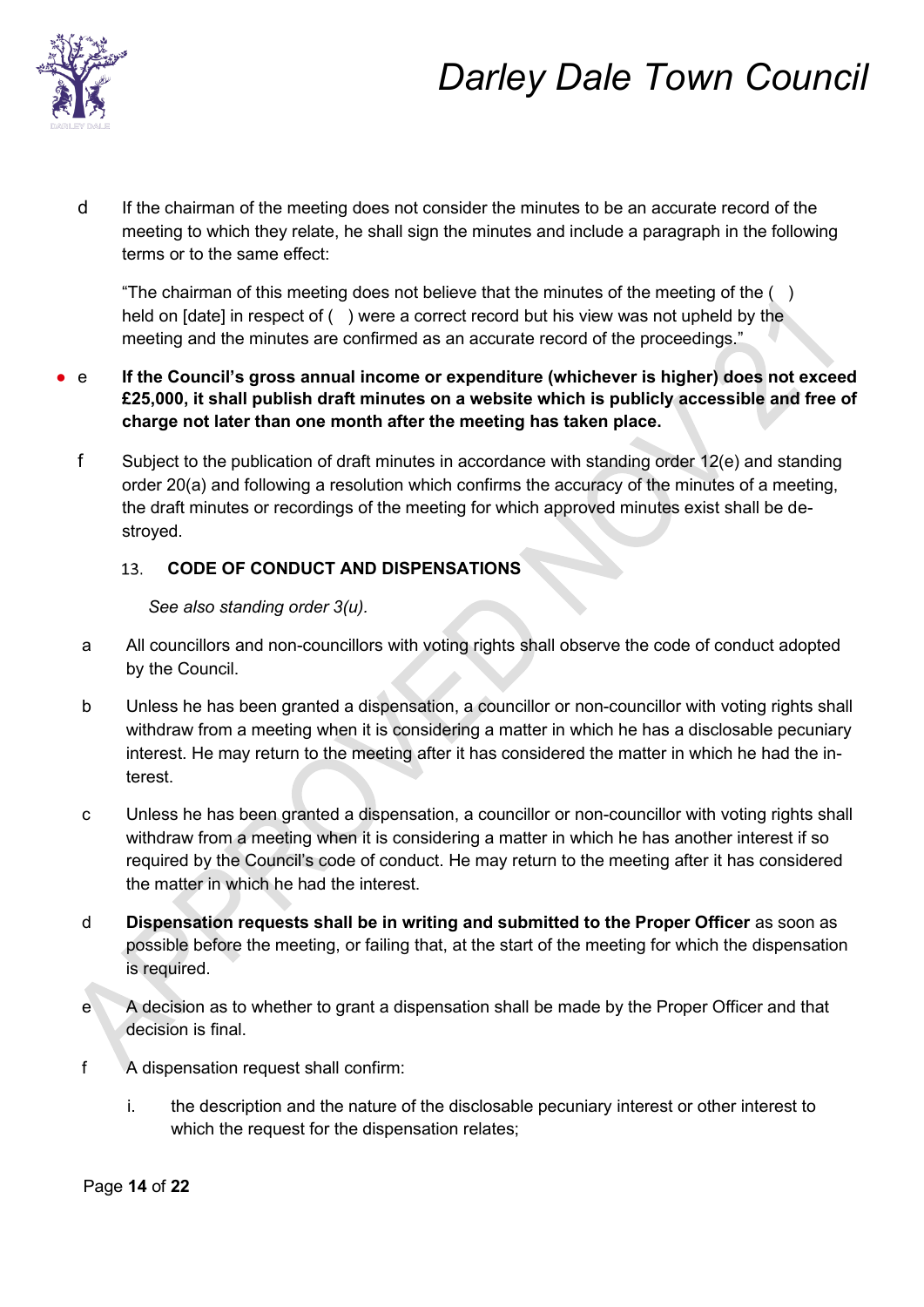

d If the chairman of the meeting does not consider the minutes to be an accurate record of the meeting to which they relate, he shall sign the minutes and include a paragraph in the following terms or to the same effect:

"The chairman of this meeting does not believe that the minutes of the meeting of the  $( )$ held on [date] in respect of () were a correct record but his view was not upheld by the meeting and the minutes are confirmed as an accurate record of the proceedings."

- e **If the Council's gross annual income or expenditure (whichever is higher) does not exceed £25,000, it shall publish draft minutes on a website which is publicly accessible and free of charge not later than one month after the meeting has taken place.**
	- f Subject to the publication of draft minutes in accordance with standing order 12(e) and standing order 20(a) and following a resolution which confirms the accuracy of the minutes of a meeting, the draft minutes or recordings of the meeting for which approved minutes exist shall be destroyed.

#### **CODE OF CONDUCT AND DISPENSATIONS**  13.

### *See also standing order 3(u).*

- a All councillors and non-councillors with voting rights shall observe the code of conduct adopted by the Council.
- b Unless he has been granted a dispensation, a councillor or non-councillor with voting rights shall withdraw from a meeting when it is considering a matter in which he has a disclosable pecuniary interest. He may return to the meeting after it has considered the matter in which he had the interest.
- c Unless he has been granted a dispensation, a councillor or non-councillor with voting rights shall withdraw from a meeting when it is considering a matter in which he has another interest if so required by the Council's code of conduct. He may return to the meeting after it has considered the matter in which he had the interest.
- d **Dispensation requests shall be in writing and submitted to the Proper Officer** as soon as possible before the meeting, or failing that, at the start of the meeting for which the dispensation is required.
- e A decision as to whether to grant a dispensation shall be made by the Proper Officer and that decision is final.
- f A dispensation request shall confirm:
	- i. the description and the nature of the disclosable pecuniary interest or other interest to which the request for the dispensation relates;

Page **14** of **22**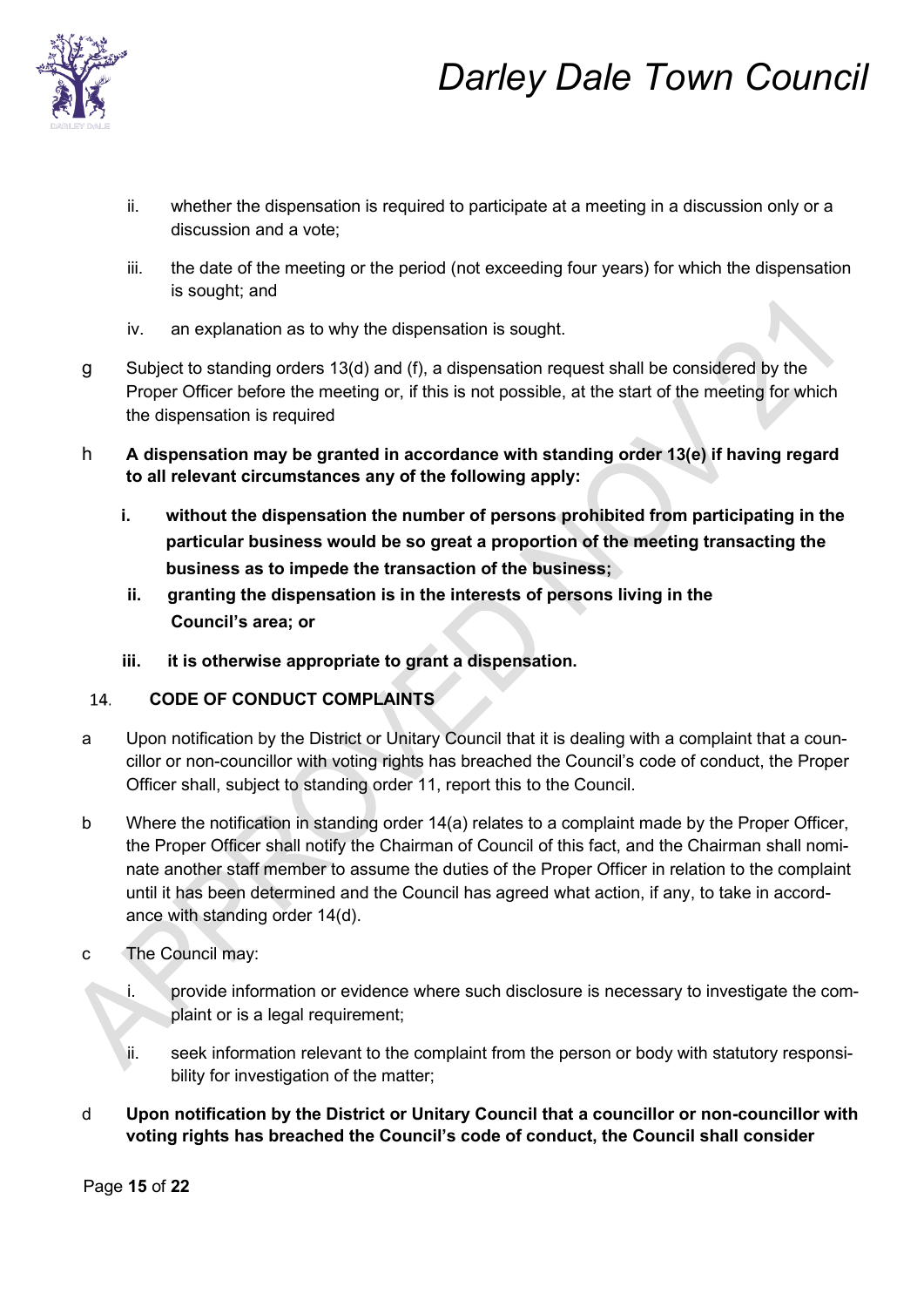

- ii. whether the dispensation is required to participate at a meeting in a discussion only or a discussion and a vote;
- iii. the date of the meeting or the period (not exceeding four years) for which the dispensation is sought; and
- iv. an explanation as to why the dispensation is sought.
- g Subject to standing orders 13(d) and (f), a dispensation request shall be considered by the Proper Officer before the meeting or, if this is not possible, at the start of the meeting for which the dispensation is required
- h **A dispensation may be granted in accordance with standing order 13(e) if having regard to all relevant circumstances any of the following apply:** 
	- **i. without the dispensation the number of persons prohibited from participating in the particular business would be so great a proportion of the meeting transacting the business as to impede the transaction of the business;**
	- **ii. granting the dispensation is in the interests of persons living in the Council's area; or**
	- **iii. it is otherwise appropriate to grant a dispensation.**

#### **CODE OF CONDUCT COMPLAINTS**  14.

- a Upon notification by the District or Unitary Council that it is dealing with a complaint that a councillor or non-councillor with voting rights has breached the Council's code of conduct, the Proper Officer shall, subject to standing order 11, report this to the Council.
- b Where the notification in standing order 14(a) relates to a complaint made by the Proper Officer, the Proper Officer shall notify the Chairman of Council of this fact, and the Chairman shall nominate another staff member to assume the duties of the Proper Officer in relation to the complaint until it has been determined and the Council has agreed what action, if any, to take in accordance with standing order 14(d).
- c The Council may:
	- i. provide information or evidence where such disclosure is necessary to investigate the complaint or is a legal requirement;
	- ii. seek information relevant to the complaint from the person or body with statutory responsibility for investigation of the matter;
- d **Upon notification by the District or Unitary Council that a councillor or non-councillor with voting rights has breached the Council's code of conduct, the Council shall consider**

Page **15** of **22**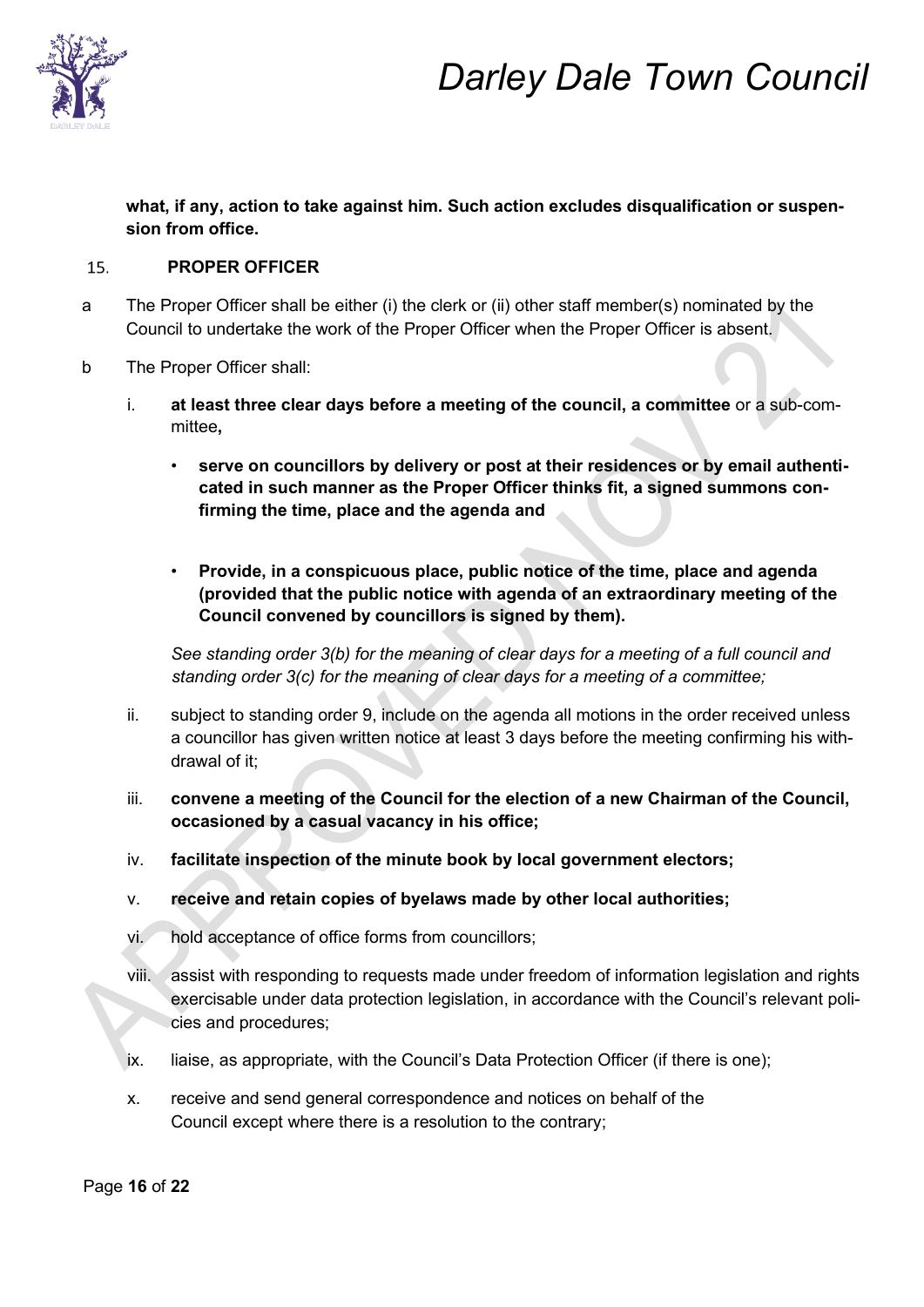

**what, if any, action to take against him. Such action excludes disqualification or suspension from office.** 

#### $15.$ **PROPER OFFICER**

- a The Proper Officer shall be either (i) the clerk or (ii) other staff member(s) nominated by the Council to undertake the work of the Proper Officer when the Proper Officer is absent.
- b The Proper Officer shall:
	- i. **at least three clear days before a meeting of the council, a committee** or a sub-committee**,**
		- serve on councillors by delivery or post at their residences or by email authenti**cated in such manner as the Proper Officer thinks fit, a signed summons confirming the time, place and the agenda and**
		- **Provide, in a conspicuous place, public notice of the time, place and agenda (provided that the public notice with agenda of an extraordinary meeting of the Council convened by councillors is signed by them).**

*See standing order 3(b) for the meaning of clear days for a meeting of a full council and standing order 3(c) for the meaning of clear days for a meeting of a committee;* 

- ii. subject to standing order 9, include on the agenda all motions in the order received unless a councillor has given written notice at least 3 days before the meeting confirming his withdrawal of it;
- iii. **convene a meeting of the Council for the election of a new Chairman of the Council, occasioned by a casual vacancy in his office;**
- iv. **facilitate inspection of the minute book by local government electors;**
- v. **receive and retain copies of byelaws made by other local authorities;**
- vi. hold acceptance of office forms from councillors;
- viii. assist with responding to requests made under freedom of information legislation and rights exercisable under data protection legislation, in accordance with the Council's relevant policies and procedures;
- ix. liaise, as appropriate, with the Council's Data Protection Officer (if there is one);
- x. receive and send general correspondence and notices on behalf of the Council except where there is a resolution to the contrary;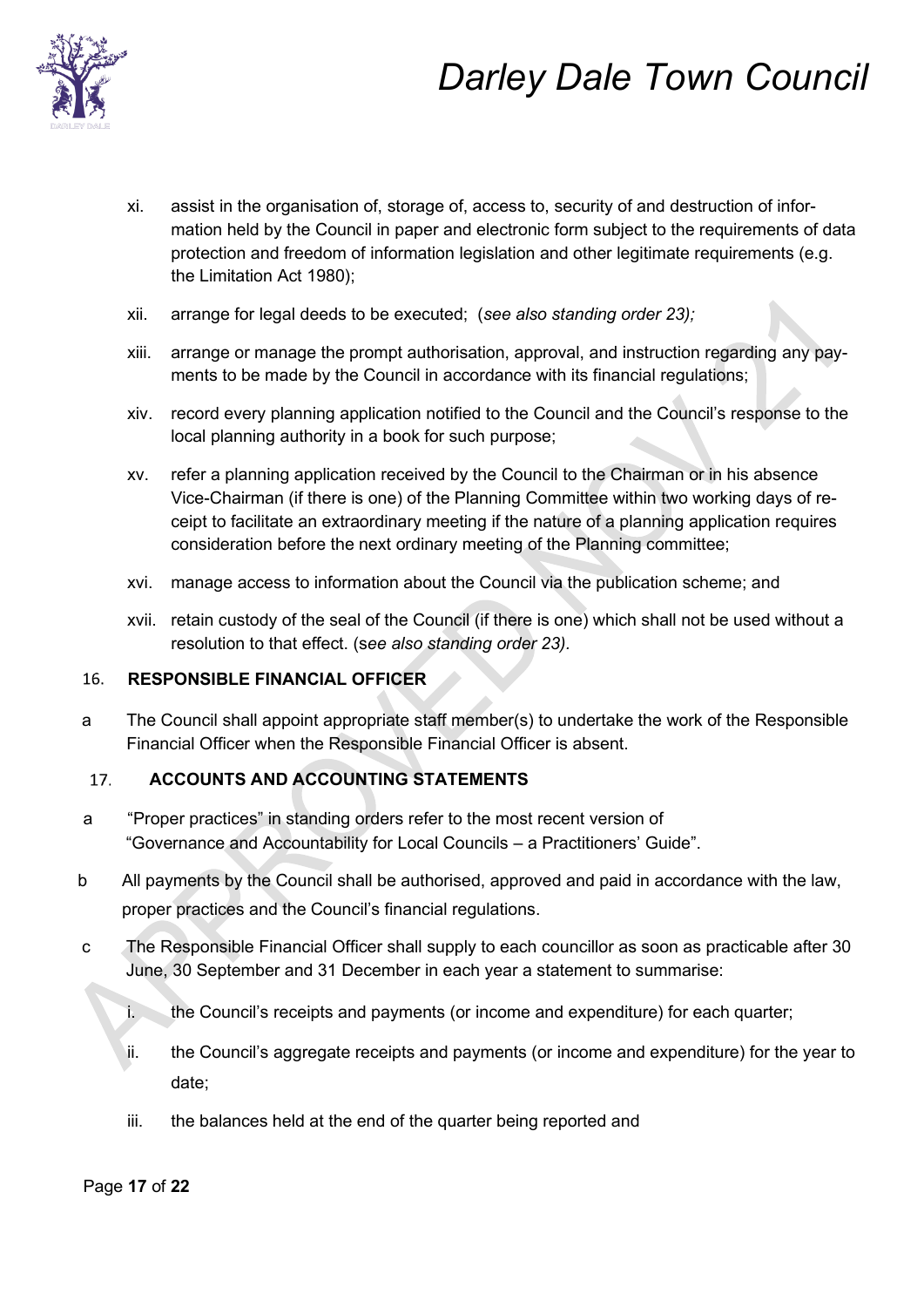

- xi. assist in the organisation of, storage of, access to, security of and destruction of information held by the Council in paper and electronic form subject to the requirements of data protection and freedom of information legislation and other legitimate requirements (e.g. the Limitation Act 1980);
- xii. arrange for legal deeds to be executed; (*see also standing order 23);*
- xiii. arrange or manage the prompt authorisation, approval, and instruction regarding any payments to be made by the Council in accordance with its financial regulations;
- xiv. record every planning application notified to the Council and the Council's response to the local planning authority in a book for such purpose;
- xv. refer a planning application received by the Council to the Chairman or in his absence Vice-Chairman (if there is one) of the Planning Committee within two working days of receipt to facilitate an extraordinary meeting if the nature of a planning application requires consideration before the next ordinary meeting of the Planning committee;
- xvi. manage access to information about the Council via the publication scheme; and
- xvii. retain custody of the seal of the Council (if there is one) which shall not be used without a resolution to that effect. (s*ee also standing order 23).*

#### **RESPONSIBLE FINANCIAL OFFICER**  16.

a The Council shall appoint appropriate staff member(s) to undertake the work of the Responsible Financial Officer when the Responsible Financial Officer is absent.

#### **ACCOUNTS AND ACCOUNTING STATEMENTS**  17.

- a "Proper practices" in standing orders refer to the most recent version of "Governance and Accountability for Local Councils – a Practitioners' Guide".
- b All payments by the Council shall be authorised, approved and paid in accordance with the law, proper practices and the Council's financial regulations.
- c The Responsible Financial Officer shall supply to each councillor as soon as practicable after 30 June, 30 September and 31 December in each year a statement to summarise:
	- i. the Council's receipts and payments (or income and expenditure) for each quarter;
	- ii. the Council's aggregate receipts and payments (or income and expenditure) for the year to date;
	- iii. the balances held at the end of the quarter being reported and

### Page **17** of **22**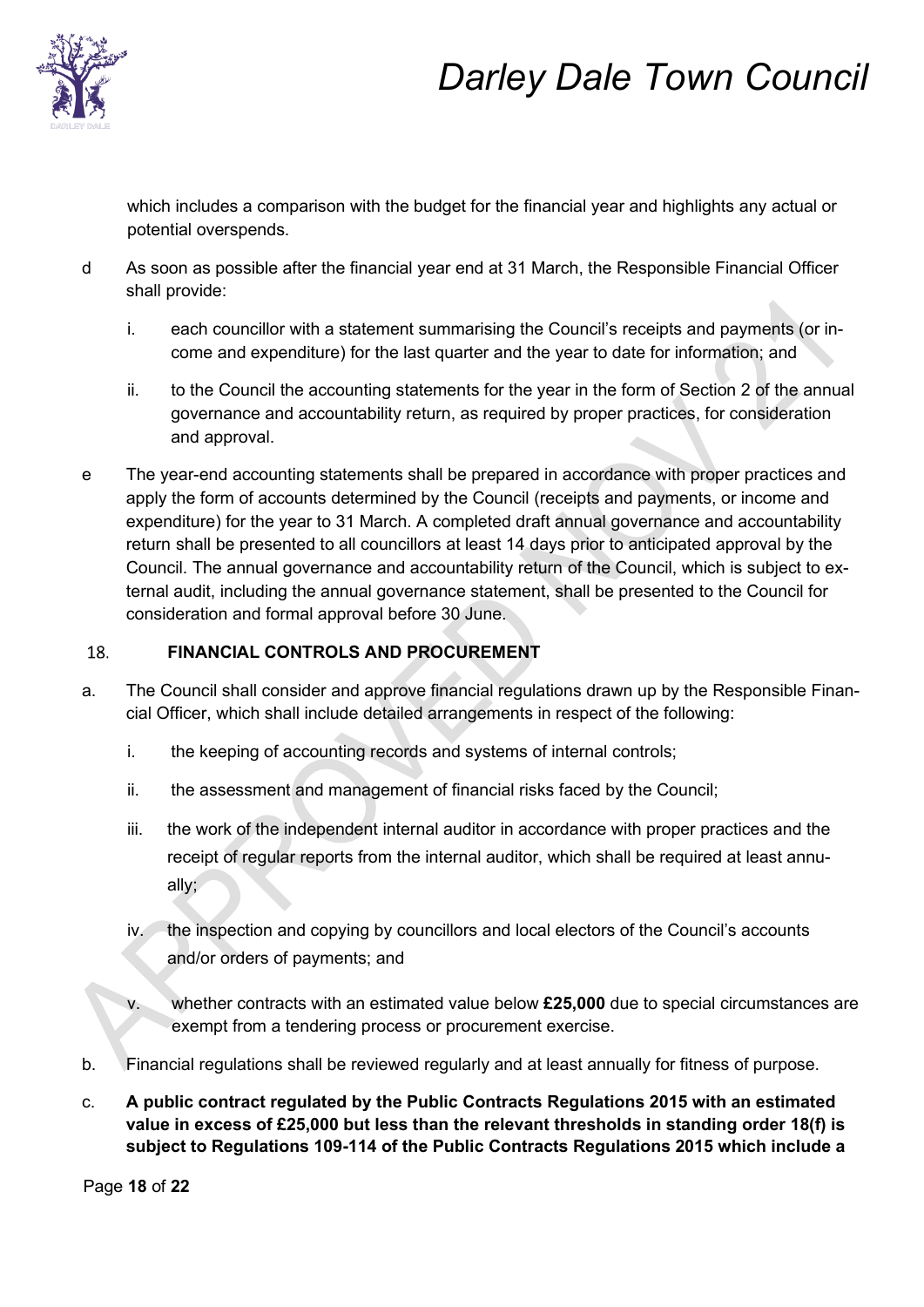

which includes a comparison with the budget for the financial year and highlights any actual or potential overspends.

- d As soon as possible after the financial year end at 31 March, the Responsible Financial Officer shall provide:
	- i. each councillor with a statement summarising the Council's receipts and payments (or income and expenditure) for the last quarter and the year to date for information; and
	- ii. to the Council the accounting statements for the year in the form of Section 2 of the annual governance and accountability return, as required by proper practices, for consideration and approval.
- e The year-end accounting statements shall be prepared in accordance with proper practices and apply the form of accounts determined by the Council (receipts and payments, or income and expenditure) for the year to 31 March. A completed draft annual governance and accountability return shall be presented to all councillors at least 14 days prior to anticipated approval by the Council. The annual governance and accountability return of the Council, which is subject to external audit, including the annual governance statement, shall be presented to the Council for consideration and formal approval before 30 June.

#### **FINANCIAL CONTROLS AND PROCUREMENT**  18.

- a. The Council shall consider and approve financial regulations drawn up by the Responsible Financial Officer, which shall include detailed arrangements in respect of the following:
	- i. the keeping of accounting records and systems of internal controls;
	- ii. the assessment and management of financial risks faced by the Council;
	- iii. the work of the independent internal auditor in accordance with proper practices and the receipt of regular reports from the internal auditor, which shall be required at least annually;
	- iv. the inspection and copying by councillors and local electors of the Council's accounts and/or orders of payments; and
	- v. whether contracts with an estimated value below **£25,000** due to special circumstances are exempt from a tendering process or procurement exercise.
- b. Financial regulations shall be reviewed regularly and at least annually for fitness of purpose.
- c. **A public contract regulated by the Public Contracts Regulations 2015 with an estimated value in excess of £25,000 but less than the relevant thresholds in standing order 18(f) is subject to Regulations 109-114 of the Public Contracts Regulations 2015 which include a**

Page **18** of **22**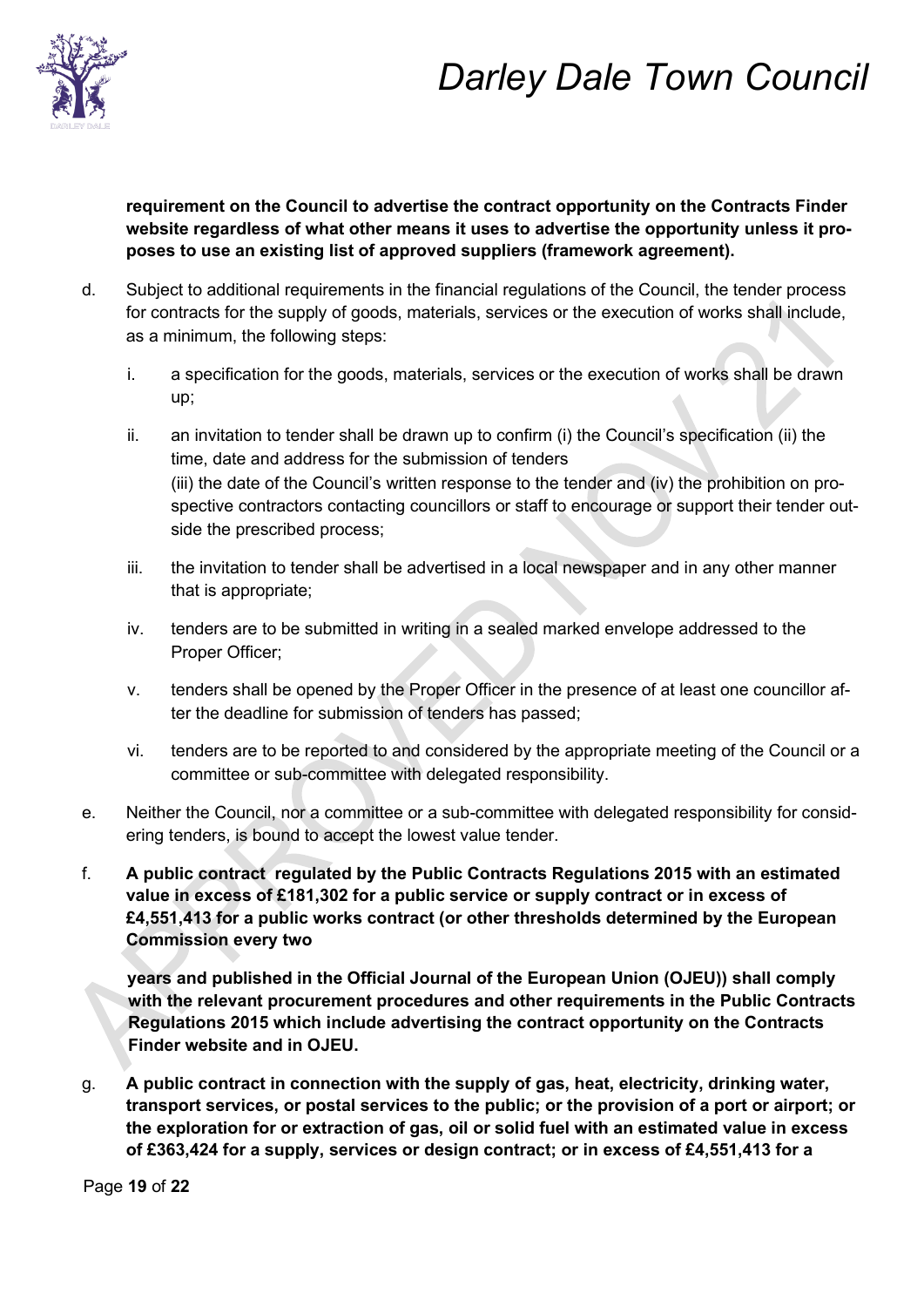

**requirement on the Council to advertise the contract opportunity on the Contracts Finder website regardless of what other means it uses to advertise the opportunity unless it proposes to use an existing list of approved suppliers (framework agreement).** 

- d. Subject to additional requirements in the financial regulations of the Council, the tender process for contracts for the supply of goods, materials, services or the execution of works shall include, as a minimum, the following steps:
	- i. a specification for the goods, materials, services or the execution of works shall be drawn up;
	- ii. an invitation to tender shall be drawn up to confirm (i) the Council's specification (ii) the time, date and address for the submission of tenders (iii) the date of the Council's written response to the tender and (iv) the prohibition on prospective contractors contacting councillors or staff to encourage or support their tender outside the prescribed process;
	- iii. the invitation to tender shall be advertised in a local newspaper and in any other manner that is appropriate;
	- iv. tenders are to be submitted in writing in a sealed marked envelope addressed to the Proper Officer;
	- v. tenders shall be opened by the Proper Officer in the presence of at least one councillor after the deadline for submission of tenders has passed;
	- vi. tenders are to be reported to and considered by the appropriate meeting of the Council or a committee or sub-committee with delegated responsibility.
- e. Neither the Council, nor a committee or a sub-committee with delegated responsibility for considering tenders, is bound to accept the lowest value tender.
- f. **A public contract regulated by the Public Contracts Regulations 2015 with an estimated value in excess of £181,302 for a public service or supply contract or in excess of £4,551,413 for a public works contract (or other thresholds determined by the European Commission every two**

**years and published in the Official Journal of the European Union (OJEU)) shall comply with the relevant procurement procedures and other requirements in the Public Contracts Regulations 2015 which include advertising the contract opportunity on the Contracts Finder website and in OJEU.** 

g. **A public contract in connection with the supply of gas, heat, electricity, drinking water, transport services, or postal services to the public; or the provision of a port or airport; or the exploration for or extraction of gas, oil or solid fuel with an estimated value in excess of £363,424 for a supply, services or design contract; or in excess of £4,551,413 for a** 

Page **19** of **22**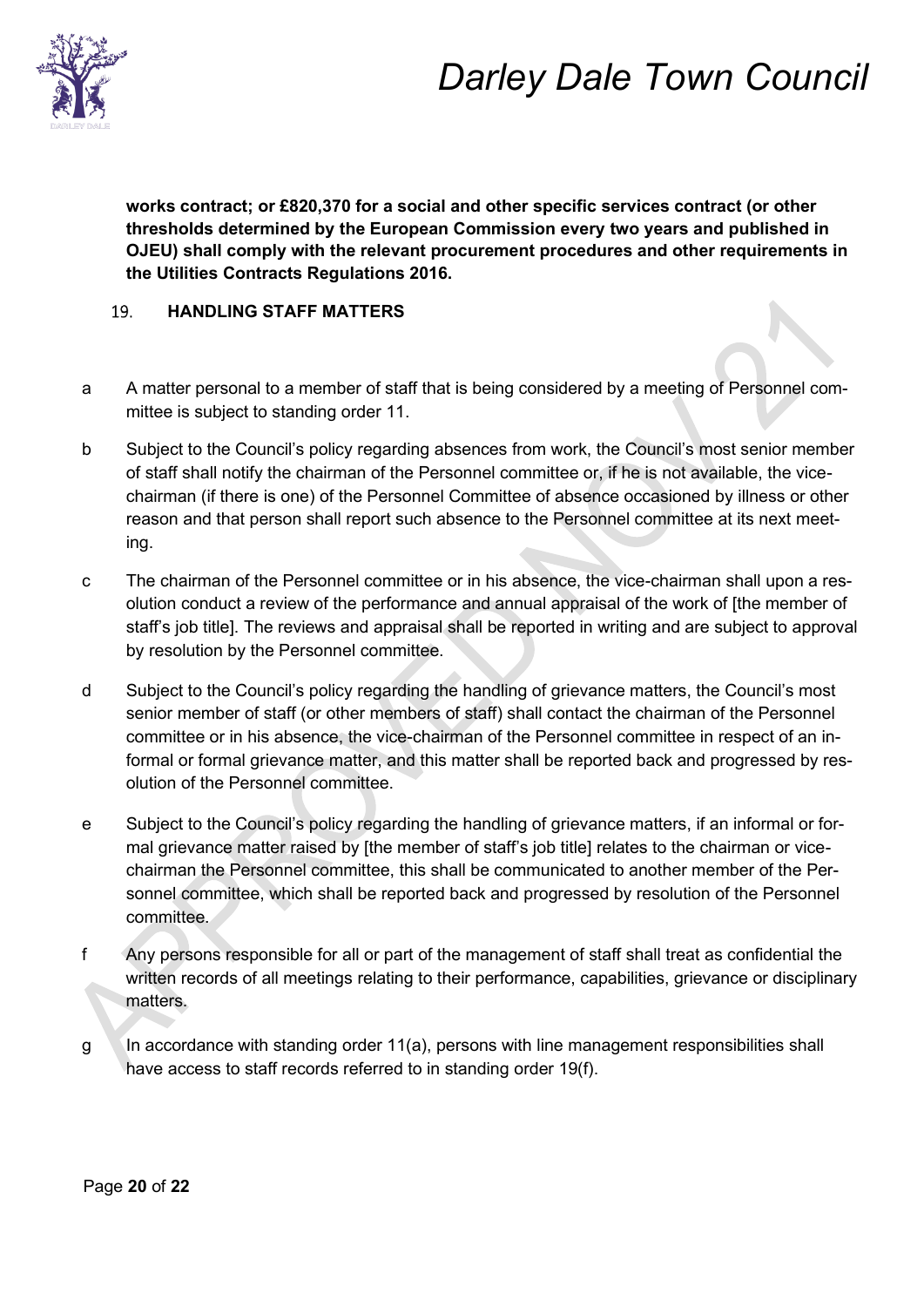

**works contract; or £820,370 for a social and other specific services contract (or other thresholds determined by the European Commission every two years and published in OJEU) shall comply with the relevant procurement procedures and other requirements in the Utilities Contracts Regulations 2016.** 

#### 19. **HANDLING STAFF MATTERS**

- a A matter personal to a member of staff that is being considered by a meeting of Personnel committee is subject to standing order 11.
- b Subject to the Council's policy regarding absences from work, the Council's most senior member of staff shall notify the chairman of the Personnel committee or, if he is not available, the vicechairman (if there is one) of the Personnel Committee of absence occasioned by illness or other reason and that person shall report such absence to the Personnel committee at its next meeting.
- c The chairman of the Personnel committee or in his absence, the vice-chairman shall upon a resolution conduct a review of the performance and annual appraisal of the work of [the member of staff's job title]. The reviews and appraisal shall be reported in writing and are subject to approval by resolution by the Personnel committee.
- d Subject to the Council's policy regarding the handling of grievance matters, the Council's most senior member of staff (or other members of staff) shall contact the chairman of the Personnel committee or in his absence, the vice-chairman of the Personnel committee in respect of an informal or formal grievance matter, and this matter shall be reported back and progressed by resolution of the Personnel committee.
- e Subject to the Council's policy regarding the handling of grievance matters, if an informal or formal grievance matter raised by [the member of staff's job title] relates to the chairman or vicechairman the Personnel committee, this shall be communicated to another member of the Personnel committee, which shall be reported back and progressed by resolution of the Personnel committee.
- f Any persons responsible for all or part of the management of staff shall treat as confidential the written records of all meetings relating to their performance, capabilities, grievance or disciplinary matters.
- $g \sim$  In accordance with standing order 11(a), persons with line management responsibilities shall have access to staff records referred to in standing order 19(f).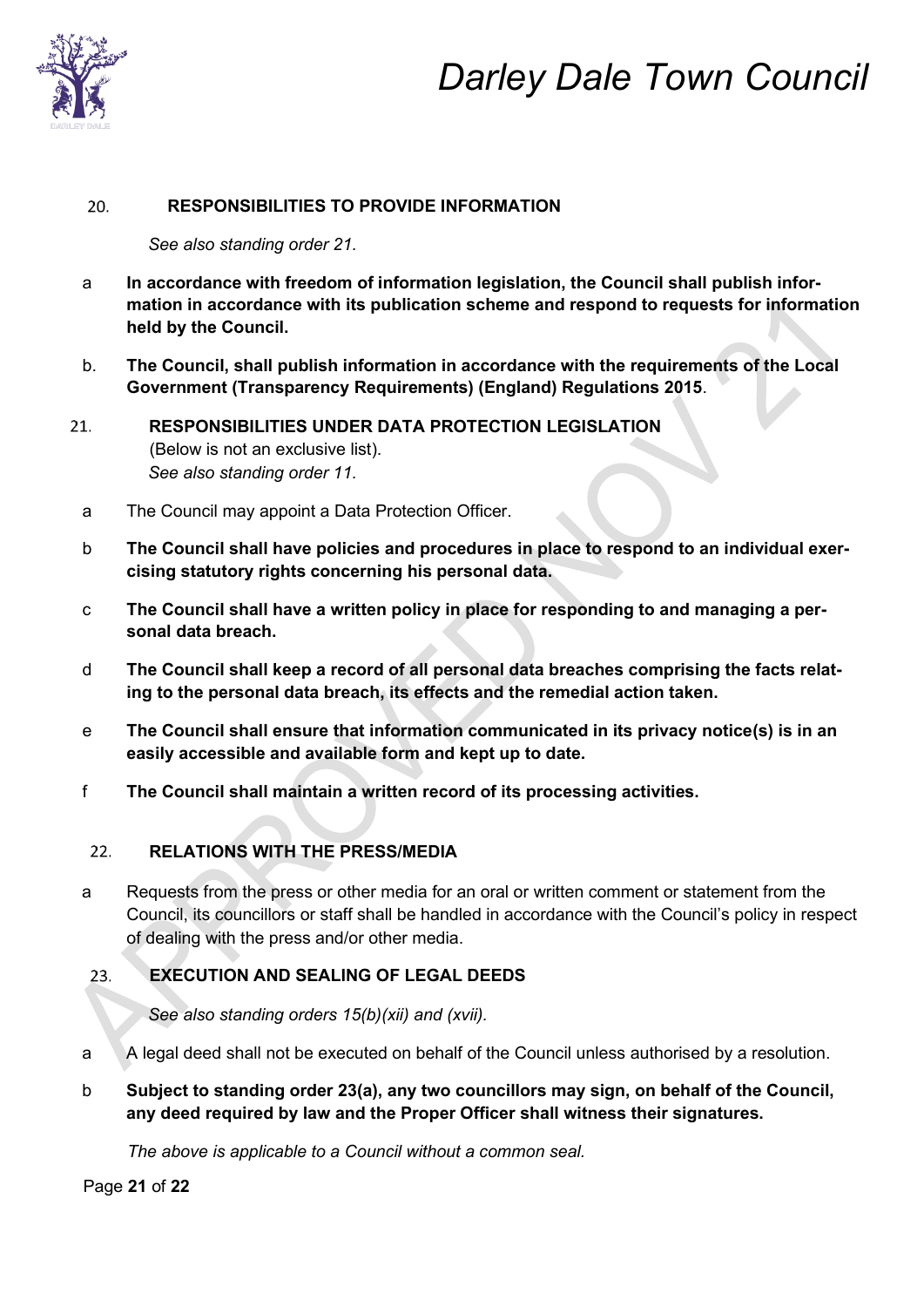

#### 20. **RESPONSIBILITIES TO PROVIDE INFORMATION**

*See also standing order 21.* 

- a **In accordance with freedom of information legislation, the Council shall publish information in accordance with its publication scheme and respond to requests for information held by the Council.**
- b. **The Council, shall publish information in accordance with the requirements of the Local Government (Transparency Requirements) (England) Regulations 2015**.
- **RESPONSIBILITIES UNDER DATA PROTECTION LEGISLATION**  (Below is not an exclusive list). *See also standing order 11.* 
	- a The Council may appoint a Data Protection Officer.
	- b **The Council shall have policies and procedures in place to respond to an individual exercising statutory rights concerning his personal data.**
	- c **The Council shall have a written policy in place for responding to and managing a personal data breach.**
	- d **The Council shall keep a record of all personal data breaches comprising the facts relating to the personal data breach, its effects and the remedial action taken.**
	- e **The Council shall ensure that information communicated in its privacy notice(s) is in an easily accessible and available form and kept up to date.**
	- f **The Council shall maintain a written record of its processing activities.**

#### **RELATIONS WITH THE PRESS/MEDIA**   $22.$

a Requests from the press or other media for an oral or written comment or statement from the Council, its councillors or staff shall be handled in accordance with the Council's policy in respect of dealing with the press and/or other media.

#### 23. **EXECUTION AND SEALING OF LEGAL DEEDS**

*See also standing orders 15(b)(xii) and (xvii).* 

- a A legal deed shall not be executed on behalf of the Council unless authorised by a resolution.
- b **Subject to standing order 23(a), any two councillors may sign, on behalf of the Council, any deed required by law and the Proper Officer shall witness their signatures.**

*The above is applicable to a Council without a common seal.*

Page **21** of **22**